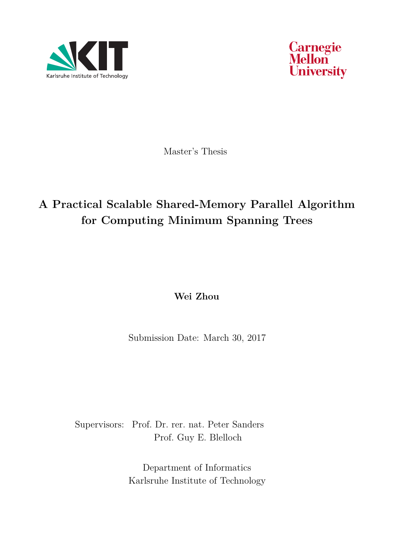



Master's Thesis

# **A Practical Scalable Shared-Memory Parallel Algorithm for Computing Minimum Spanning Trees**

**Wei Zhou**

Submission Date: March 30, 2017

Supervisors: Prof. Dr. rer. nat. Peter Sanders Prof. Guy E. Blelloch

> Department of Informatics Karlsruhe Institute of Technology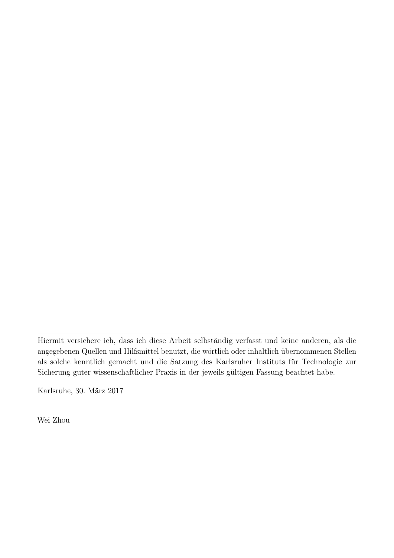Hiermit versichere ich, dass ich diese Arbeit selbständig verfasst und keine anderen, als die angegebenen Quellen und Hilfsmittel benutzt, die wörtlich oder inhaltlich übernommenen Stellen als solche kenntlich gemacht und die Satzung des Karlsruher Instituts für Technologie zur Sicherung guter wissenschaftlicher Praxis in der jeweils gültigen Fassung beachtet habe.

Karlsruhe, 30. März 2017

Wei Zhou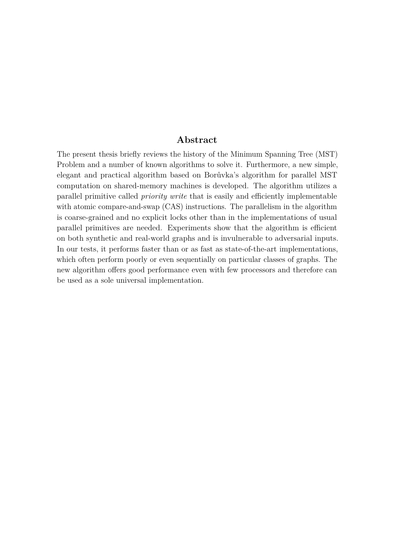#### **Abstract**

The present thesis briefly reviews the history of the Minimum Spanning Tree (MST) Problem and a number of known algorithms to solve it. Furthermore, a new simple, elegant and practical algorithm based on Borůvka's algorithm for parallel MST computation on shared-memory machines is developed. The algorithm utilizes a parallel primitive called *priority write* that is easily and efficiently implementable with atomic compare-and-swap (CAS) instructions. The parallelism in the algorithm is coarse-grained and no explicit locks other than in the implementations of usual parallel primitives are needed. Experiments show that the algorithm is efficient on both synthetic and real-world graphs and is invulnerable to adversarial inputs. In our tests, it performs faster than or as fast as state-of-the-art implementations, which often perform poorly or even sequentially on particular classes of graphs. The new algorithm offers good performance even with few processors and therefore can be used as a sole universal implementation.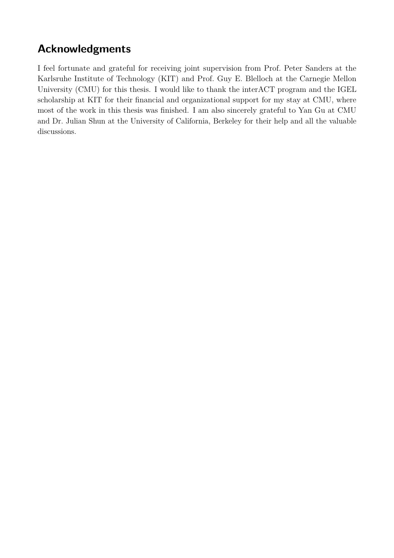# **Acknowledgments**

I feel fortunate and grateful for receiving joint supervision from Prof. Peter Sanders at the Karlsruhe Institute of Technology (KIT) and Prof. Guy E. Blelloch at the Carnegie Mellon University (CMU) for this thesis. I would like to thank the interACT program and the IGEL scholarship at KIT for their financial and organizational support for my stay at CMU, where most of the work in this thesis was finished. I am also sincerely grateful to Yan Gu at CMU and Dr. Julian Shun at the University of California, Berkeley for their help and all the valuable discussions.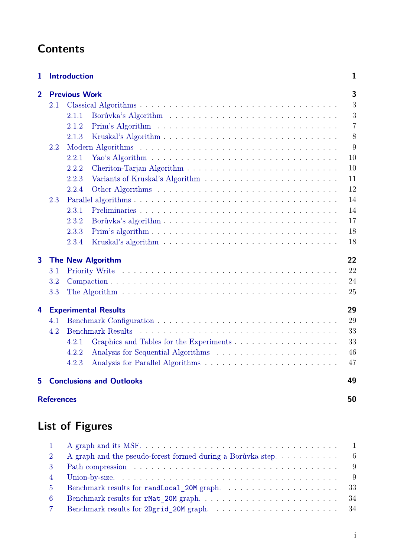# **Contents**

| 1              |                   | <b>Introduction</b>             | $\mathbf{1}$   |
|----------------|-------------------|---------------------------------|----------------|
| $\overline{2}$ |                   | <b>Previous Work</b>            | 3              |
|                | 2.1               |                                 | 3              |
|                |                   | 2.1.1                           | 3              |
|                |                   | 2.1.2                           | $\overline{7}$ |
|                |                   | 2.1.3                           | 8              |
|                | 2.2               |                                 | 9              |
|                |                   | 2.2.1                           | 10             |
|                |                   | 2.2.2                           | 10             |
|                |                   | 2.2.3                           | 11             |
|                |                   | 2.2.4                           | 12             |
|                | 2.3               |                                 | 14             |
|                |                   | 2.3.1                           | 14             |
|                |                   | 2.3.2                           | 17             |
|                |                   | 2.3.3                           | 18             |
|                |                   | 2.3.4                           | 18             |
| $\overline{3}$ |                   | <b>The New Algorithm</b>        | 22             |
|                | 3.1               |                                 | 22             |
|                | 3.2               |                                 | 24             |
|                | 3.3               |                                 | 25             |
| 4              |                   | <b>Experimental Results</b>     | 29             |
|                | 4.1               |                                 | 29             |
|                | 4.2               | <b>Benchmark Results</b>        | 33             |
|                |                   | 4.2.1                           | 33             |
|                |                   | 4.2.2                           | 46             |
|                |                   | 4.2.3                           | 47             |
| 5              |                   | <b>Conclusions and Outlooks</b> | 49             |
|                | <b>References</b> |                                 | 50             |

# **List of Figures**

| $2^{\circ}$    | A graph and the pseudo-forest formed during a Borůvka step. $\dots \dots \dots$                 |  |
|----------------|-------------------------------------------------------------------------------------------------|--|
| $\mathcal{R}$  | Path compression $\ldots \ldots \ldots \ldots \ldots \ldots \ldots \ldots \ldots \ldots \ldots$ |  |
| $\sim$ 4       |                                                                                                 |  |
| 5 <sup>1</sup> |                                                                                                 |  |
| -6             |                                                                                                 |  |
| $7\degree$     |                                                                                                 |  |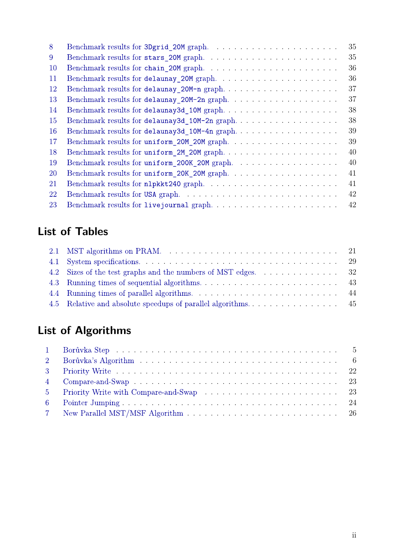| 8             |                                               | 35 |
|---------------|-----------------------------------------------|----|
| 9             | Benchmark results for stars_20M graph         | 35 |
| <sup>10</sup> | Benchmark results for chain_20M graph         | 36 |
| 11            |                                               | 36 |
| <sup>12</sup> | Benchmark results for delaunay_20M-n graph    | 37 |
| 13            | Benchmark results for delaunay_20M-2n graph   | 37 |
| 14            | Benchmark results for delaunay3d_10M graph    | 38 |
| 15            | Benchmark results for delaunay3d_10M-2n graph | 38 |
| <b>16</b>     | Benchmark results for delaunay3d_10M-4n graph | 39 |
| 17            | Benchmark results for uniform_20M_20M graph   | 39 |
| 18            | Benchmark results for uniform_2M_20M graph    | 40 |
| 19            | Benchmark results for uniform_200K_20M graph. | 40 |
| 20            | Benchmark results for uniform_20K_20M graph   | 41 |
| 21            | Benchmark results for nlpkkt240 graph         | 41 |
| 22            | Benchmark results for USA graph               | 42 |
| 23            | Benchmark results for livejournal graph       | 42 |
|               |                                               |    |

# **List of Tables**

| 4.2 Sizes of the test graphs and the numbers of MST edges. 32 |  |
|---------------------------------------------------------------|--|
|                                                               |  |
|                                                               |  |
|                                                               |  |

# **List of Algorithms**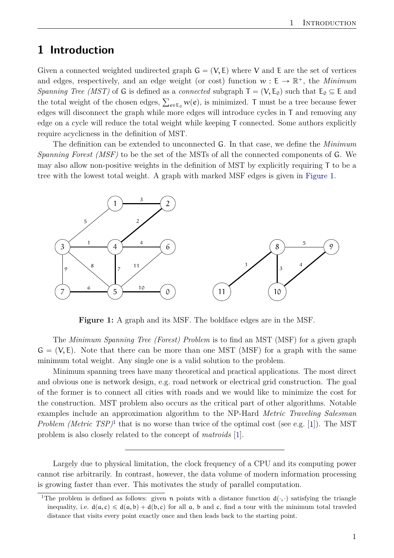# <span id="page-6-3"></span><span id="page-6-0"></span>**1 Introduction**

Given a connected weighted undirected graph  $G = (V, E)$  where V and E are the set of vertices and edges, respectively, and an edge weight (or cost) function  $w: E \to \mathbb{R}^+$ , the *Minimum Spanning Tree (MST)* of G is defined as a *connected* subgraph  $T = (V, E_0)$  such that  $E_0 \subseteq E$  and spanning Tree (MST) of G is defined as a *connected* subgraph  $I = (V, E_0)$  such that  $E_0 \subseteq E$  and the total weight of the chosen edges,  $\sum_{e \in E_0} w(e)$ , is minimized. T must be a tree because fewer edges will disconnect the graph while more edges will introduce cycles in T and removing any edge on a cycle will reduce the total weight while keeping T connected. Some authors explicitly require acyclicness in the definition of MST.

The definition can be extended to unconnected G. In that case, we define the *Minimum Spanning Forest (MSF)* to be the set of the MSTs of all the connected components of G. We may also allow non-positive weights in the definition of MST by explicitly requiring T to be a tree with the lowest total weight. A graph with marked MSF edges is given in [Figure 1.](#page-6-1)

<span id="page-6-1"></span>

**Figure 1:** A graph and its MSF. The boldface edges are in the MSF.

The *Minimum Spanning Tree (Forest) Problem* is to find an MST (MSF) for a given graph  $G = (V, E)$ . Note that there can be more than one MST (MSF) for a graph with the same minimum total weight. Any single one is a valid solution to the problem.

Minimum spanning trees have many theoretical and practical applications. The most direct and obvious one is network design, e.g. road network or electrical grid construction. The goal of the former is to connect all cities with roads and we would like to minimize the cost for the construction. MST problem also occurs as the critical part of other algorithms. Notable examples include an approximation algorithm to the NP-Hard *Metric Traveling Salesman Problem (Metric TSP)*<sup>[1](#page-6-2)</sup> that is no worse than twice of the optimal cost (see e.g. [\[1\]](#page-55-1)). The MST problem is also closely related to the concept of *matroids* [\[1\]](#page-55-1).

Largely due to physical limitation, the clock frequency of a CPU and its computing power cannot rise arbitrarily. In contrast, however, the data volume of modern information processing is growing faster than ever. This motivates the study of parallel computation.

<span id="page-6-2"></span><sup>&</sup>lt;sup>1</sup>The problem is defined as follows: given n points with a distance function  $d(\cdot, \cdot)$  satisfying the triangle inequality, i.e.  $d(a, c) \leq d(a, b) + d(b, c)$  for all a, b and c, find a tour with the minimum total traveled distance that visits every point exactly once and then leads back to the starting point.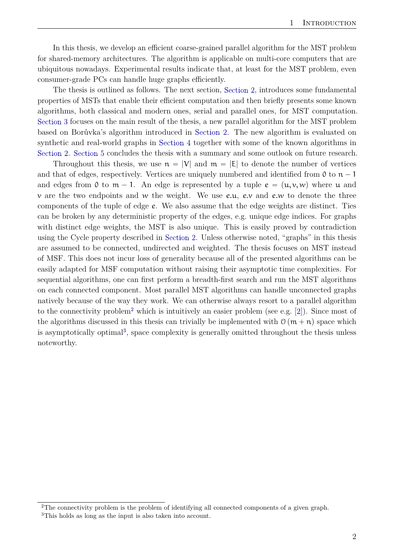<span id="page-7-2"></span>In this thesis, we develop an efficient coarse-grained parallel algorithm for the MST problem for shared-memory architectures. The algorithm is applicable on multi-core computers that are ubiquitous nowadays. Experimental results indicate that, at least for the MST problem, even consumer-grade PCs can handle huge graphs efficiently.

The thesis is outlined as follows. The next section, [Section 2,](#page-8-0) introduces some fundamental properties of MSTs that enable their efficient computation and then briefly presents some known algorithms, both classical and modern ones, serial and parallel ones, for MST computation. [Section 3](#page-27-0) focuses on the main result of the thesis, a new parallel algorithm for the MST problem based on Borůvka's algorithm introduced in [Section 2.](#page-8-0) The new algorithm is evaluated on synthetic and real-world graphs in [Section 4](#page-34-0) together with some of the known algorithms in [Section 2.](#page-8-0) [Section 5](#page-54-0) concludes the thesis with a summary and some outlook on future research.

Throughout this thesis, we use  $n = |V|$  and  $m = |E|$  to denote the number of vertices and that of edges, respectively. Vertices are uniquely numbered and identified from 0 to  $n - 1$ and edges from 0 to  $m - 1$ . An edge is represented by a tuple  $e = (u, v, w)$  where u and  $\nu$  are the two endpoints and w the weight. We use e.u, e.v and e.w to denote the three components of the tuple of edge e. We also assume that the edge weights are distinct. Ties can be broken by any deterministic property of the edges, e.g. unique edge indices. For graphs with distinct edge weights, the MST is also unique. This is easily proved by contradiction using the Cycle property described in [Section 2.](#page-8-0) Unless otherwise noted, "graphs" in this thesis are assumed to be connected, undirected and weighted. The thesis focuses on MST instead of MSF. This does not incur loss of generality because all of the presented algorithms can be easily adapted for MSF computation without raising their asymptotic time complexities. For sequential algorithms, one can first perform a breadth-first search and run the MST algorithms on each connected component. Most parallel MST algorithms can handle unconnected graphs natively because of the way they work. We can otherwise always resort to a parallel algorithm to the connectivity problem<sup>[2](#page-7-0)</sup> which is intuitively an easier problem (see e.g. [\[2\]](#page-55-2)). Since most of the algorithms discussed in this thesis can trivially be implemented with  $\mathcal{O}(m + n)$  space which is asymptotically optimal<sup>[3](#page-7-1)</sup>, space complexity is generally omitted throughout the thesis unless noteworthy.

<span id="page-7-1"></span><span id="page-7-0"></span><sup>&</sup>lt;sup>2</sup>The connectivity problem is the problem of identifying all connected components of a given graph. <sup>3</sup>This holds as long as the input is also taken into account.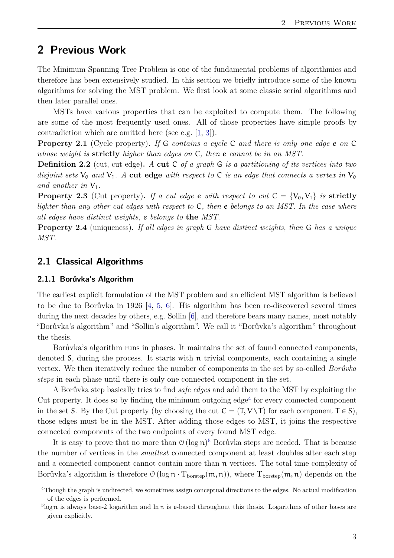# <span id="page-8-5"></span><span id="page-8-0"></span>**2 Previous Work**

The Minimum Spanning Tree Problem is one of the fundamental problems of algorithmics and therefore has been extensively studied. In this section we briefly introduce some of the known algorithms for solving the MST problem. We first look at some classic serial algorithms and then later parallel ones.

MSTs have various properties that can be exploited to compute them. The following are some of the most frequently used ones. All of those properties have simple proofs by contradiction which are omitted here (see e.g. [\[1,](#page-55-1) [3\]](#page-55-3)).

**Property 2.1** (Cycle property)**.** *If* G *contains a cycle* C *and there is only one edge* e *on* C *whose weight is* **strictly** *higher than edges on* C*, then* e *cannot be in an MST.*

**Definition 2.2** (cut, cut edge)**.** *A* **cut** C *of a graph* G *is a partitioning of its vertices into two disjoint sets*  $V_0$  *and*  $V_1$ *. A* **cut edge** *with respect to* C *is an edge that connects a vertex in*  $V_0$ *and another in*  $V_1$ *.* 

**Property 2.3** (Cut property). If a cut edge e with respect to cut  $C = \{V_0, V_1\}$  is strictly *lighter than any other cut edges with respect to* C*, then* e *belongs to an MST. In the case where all edges have distinct weights,* e *belongs to* **the** *MST.*

**Property 2.4** (uniqueness)**.** *If all edges in graph* G *have distinct weights, then* G *has a unique MST.*

## <span id="page-8-1"></span>**2.1 Classical Algorithms**

### <span id="page-8-2"></span>**2.1.1 Borůvka's Algorithm**

The earliest explicit formulation of the MST problem and an efficient MST algorithm is believed to be due to Borůvka in 1926 [\[4,](#page-55-4) [5,](#page-55-5) [6\]](#page-55-6). His algorithm has been re-discovered several times during the next decades by others, e.g. Sollin [\[6\]](#page-55-6), and therefore bears many names, most notably "Borůvka's algorithm" and "Sollin's algorithm". We call it "Borůvka's algorithm" throughout the thesis.

Borůvka's algorithm runs in phases. It maintains the set of found connected components, denoted S, during the process. It starts with n trivial components, each containing a single vertex. We then iteratively reduce the number of components in the set by so-called *Borůvka steps* in each phase until there is only one connected component in the set.

A Borůvka step basically tries to find *safe edges* and add them to the MST by exploiting the Cut property. It does so by finding the minimum outgoing  $edge<sup>4</sup>$  $edge<sup>4</sup>$  $edge<sup>4</sup>$  for every connected component in the set S. By the Cut property (by choosing the cut  $C = (T, V \setminus T)$  for each component  $T \in S$ ), those edges must be in the MST. After adding those edges to MST, it joins the respective connected components of the two endpoints of every found MST edge.

It is easy to prove that no more than  $\mathcal{O}(\log n)^5$  $\mathcal{O}(\log n)^5$  Borůvka steps are needed. That is because the number of vertices in the *smallest* connected component at least doubles after each step and a connected component cannot contain more than n vertices. The total time complexity of Borůvka's algorithm is therefore  $\mathcal{O}(\log n \cdot T_{\text{bostep}}(m, n))$ , where  $T_{\text{bostep}}(m, n)$  depends on the

<span id="page-8-3"></span><sup>4</sup>Though the graph is undirected, we sometimes assign conceptual directions to the edges. No actual modification of the edges is performed.

<span id="page-8-4"></span> $5$ log n is always base-2 logarithm and  $\ln n$  is e-based throughout this thesis. Logarithms of other bases are given explicitly.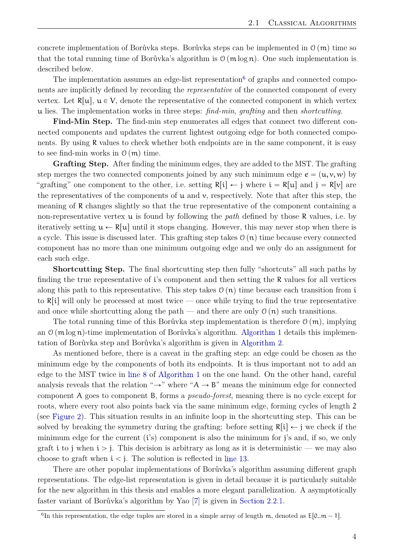<span id="page-9-1"></span>concrete implementation of Borůvka steps. Borůvka steps can be implemented in  $\mathcal{O}(m)$  time so that the total running time of Borůvka's algorithm is  $\mathcal{O}(m \log n)$ . One such implementation is described below.

The implementation assumes an edge-list representation<sup>[6](#page-9-0)</sup> of graphs and connected components are implicitly defined by recording the *representative* of the connected component of every vertex. Let  $R[u], u \in V$ , denote the representative of the connected component in which vertex u lies. The implementation works in three steps: *find-min*, *grafting* and then *shortcutting*.

**Find-Min Step.** The find-min step enumerates all edges that connect two different connected components and updates the current lightest outgoing edge for both connected components. By using R values to check whether both endpoints are in the same component, it is easy to see find-min works in  $\mathcal{O}(m)$  time.

**Grafting Step.** After finding the minimum edges, they are added to the MST. The grafting step merges the two connected components joined by any such minimum edge  $e = (u, v, w)$  by "grafting" one component to the other, i.e. setting  $R[i] \leftarrow j$  where  $i = R[u]$  and  $j = R[v]$  are the representatives of the components of  $\mu$  and  $\nu$ , respectively. Note that after this step, the meaning of R changes slightly so that the true representative of the component containing a non-representative vertex u is found by following the *path* defined by those R values, i.e. by iteratively setting  $u \leftarrow R[u]$  until it stops changing. However, this may never stop when there is a cycle. This issue is discussed later. This grafting step takes  $\mathcal{O}(n)$  time because every connected component has no more than one minimum outgoing edge and we only do an assignment for each such edge.

**Shortcutting Step.** The final shortcutting step then fully "shortcuts" all such paths by finding the true representative of i's component and then setting the R values for all vertices along this path to this representative. This step takes  $\mathcal{O}(n)$  time because each transition from i to  $R[i]$  will only be processed at most twice — once while trying to find the true representative and once while shortcutting along the path — and there are only  $\mathcal{O}(n)$  such transitions.

The total running time of this Borůvka step implementation is therefore  $\mathcal{O}(m)$ , implying an  $\mathcal{O}(m \log n)$ -time implementation of Borůvka's algorithm. [Algorithm 1](#page-10-0) details this implementation of Borůvka step and Borůvka's algorithm is given in [Algorithm 2.](#page-11-1)

As mentioned before, there is a caveat in the grafting step: an edge could be chosen as the minimum edge by the components of both its endpoints. It is thus important not to add an edge to the MST twice in [line 8](#page-10-1) of [Algorithm 1](#page-10-0) on the one hand. On the other hand, careful analysis reveals that the relation " $\rightarrow$ " where "A  $\rightarrow$  B" means the minimum edge for connected component A goes to component B, forms a *pseudo-forest*, meaning there is no cycle except for roots, where every root also points back via the same minimum edge, forming cycles of length 2 (see [Figure 2\)](#page-11-0). This situation results in an infinite loop in the shortcutting step. This can be solved by breaking the symmetry during the grafting: before setting  $R[i] \leftarrow j$  we check if the minimum edge for the current  $(i's)$  component is also the minimum for j's and, if so, we only graft i to j when  $i > j$ . This decision is arbitrary as long as it is deterministic — we may also choose to graft when  $i < j$ . The solution is reflected in [line 13.](#page-10-2)

There are other popular implementations of Borůvka's algorithm assuming different graph representations. The edge-list representation is given in detail because it is particularly suitable for the new algorithm in this thesis and enables a more elegant parallelization. A asymptotically faster variant of Borůvka's algorithm by Yao [\[7\]](#page-55-7) is given in [Section 2.2.1.](#page-15-0)

<span id="page-9-0"></span><sup>&</sup>lt;sup>6</sup>In this representation, the edge tuples are stored in a simple array of length m, denoted as  $E[0..m-1]$ .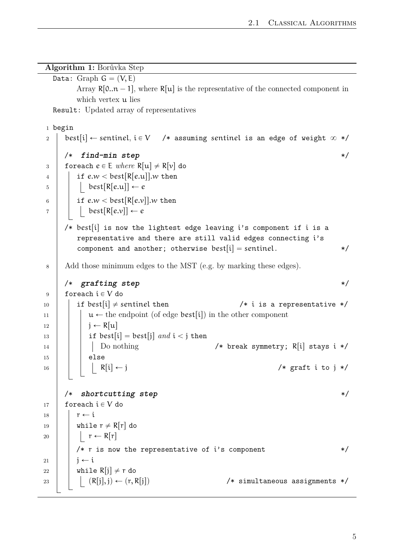**Algorithm 1:** Borůvka Step

```
Data: Graph G = (V, E)Array R[0..n-1], where R[u] is the representative of the connected component in
        which vertex u lies
  Result: Updated array of representatives
1 begin
2 best[i] \leftarrow sentinel, i \in V /* assuming sentinel is an edge of weight \infty */
     /* find-min step */
3 foreach e \in E where R[u] \neq R[v] do
4 if e.w < \text{best}[R[e.u]].w then
5 best[R[e.u]] \leftarrow e6 if e,w < \text{best[R}[e,v]], w then
7 \mid \cdot \cdot \cdot \cdot \cdot \cdot best[R[e.v]] \leftarrow e/* best[i] is now the lightest edge leaving i's component if i is a
        representative and there are still valid edges connecting i's
        component and another; otherwise best[i] = sentinel. */
8 Add those minimum edges to the MST (e.g. by marking these edges).
     /* grafting step */
9 foreach i \in V do
10 if best[i] \neq sentinel then \left( \begin{array}{c} \ast \\ \ast \end{array} \right) is a representative \ast/
11 u Ð the endpoint (of edge bestris) in the other component
12 \mid \cdot \cdot \cdot \cdot \cdot R[u]13 | | if best[i] = best[j] and i < j then
14 | | Do nothing / break symmetry; R[i] stays i */
15 \vert \vert else
16 | | | R[i] \leftarrow j /* graft i to j */
     /* shortcutting step */
17 \vert foreach i \in V do
18 \tau \leftarrow i19 | while r \neq R[r] do
20 | | r \leftarrow R[r]/* r is now the representative of i's component * */
21 | \mathbf{j} \leftarrow \mathbf{i}22 while R[i] \neq r do
23 | | (R[j], j) \leftarrow (r, R[j]) /* simultaneous assignments */
```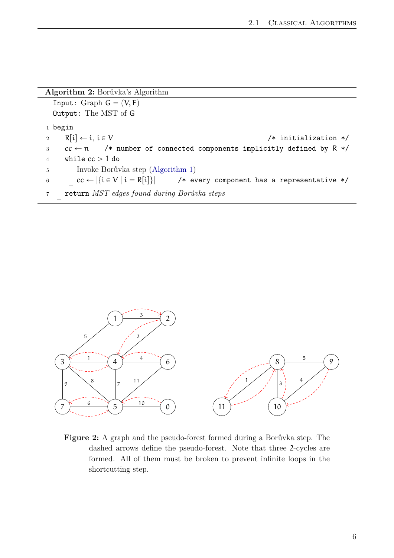<span id="page-11-1"></span>

| Algorithm 2: Borůvka's Algorithm |                                                                                                |  |  |
|----------------------------------|------------------------------------------------------------------------------------------------|--|--|
|                                  | Input: Graph $G = (V, E)$                                                                      |  |  |
| Output: The MST of G             |                                                                                                |  |  |
|                                  | $1$ begin                                                                                      |  |  |
| $\overline{2}$                   | $R[i] \leftarrow i, i \in V$<br>$/*$ initialization $*/$                                       |  |  |
| 3                                | $cc \leftarrow n$ /* number of connected components implicitly defined by R */                 |  |  |
| $\overline{4}$                   | while $cc > 1$ do                                                                              |  |  |
| $\bf 5$                          | Invoke Borůvka step (Algorithm 1)                                                              |  |  |
| $\,6\,$                          | $\vert$ $cc \leftarrow  \{i \in V \mid i = R[i]\} $ /* every component has a representative */ |  |  |
| $\overline{7}$                   | return MST edges found during Borůvka steps                                                    |  |  |

<span id="page-11-0"></span>

**Figure 2:** A graph and the pseudo-forest formed during a Borůvka step. The dashed arrows define the pseudo-forest. Note that three 2-cycles are formed. All of them must be broken to prevent infinite loops in the shortcutting step.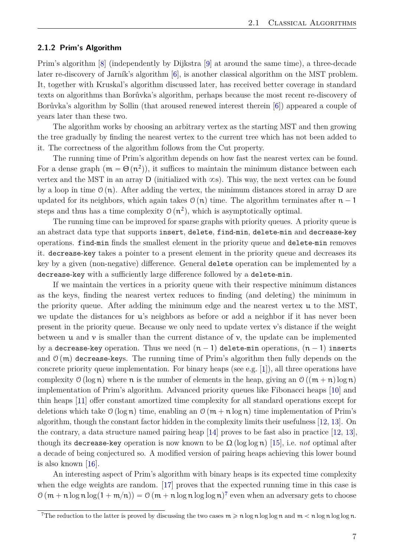#### <span id="page-12-2"></span><span id="page-12-0"></span>**2.1.2 Prim's Algorithm**

Prim's algorithm [\[8\]](#page-55-8) (independently by Dijkstra [\[9\]](#page-55-9) at around the same time), a three-decade later re-discovery of Jarník's algorithm [\[6\]](#page-55-6), is another classical algorithm on the MST problem. It, together with Kruskal's algorithm discussed later, has received better coverage in standard texts on algorithms than Borůvka's algorithm, perhaps because the most recent re-discovery of Borůvka's algorithm by Sollin (that aroused renewed interest therein [\[6\]](#page-55-6)) appeared a couple of years later than these two.

The algorithm works by choosing an arbitrary vertex as the starting MST and then growing the tree gradually by finding the nearest vertex to the current tree which has not been added to it. The correctness of the algorithm follows from the Cut property.

The running time of Prim's algorithm depends on how fast the nearest vertex can be found. For a dense graph  $(m = \Theta(n^2))$ , it suffices to maintain the minimum distance between each vertex and the MST in an array D (initialized with  $\infty$ s). This way, the next vertex can be found by a loop in time  $\mathcal{O}(n)$ . After adding the vertex, the minimum distances stored in array D are updated for its neighbors, which again takes  $\mathcal{O}(n)$  time. The algorithm terminates after  $n - 1$ steps and thus has a time complexity  $\mathcal{O}(n^2)$ , which is asymptotically optimal.

The running time can be improved for sparse graphs with priority queues. A priority queue is an abstract data type that supports insert, delete, find-min, delete-min and decrease-key operations. find-min finds the smallest element in the priority queue and delete-min removes it. decrease-key takes a pointer to a present element in the priority queue and decreases its key by a given (non-negative) difference. General delete operation can be implemented by a decrease-key with a sufficiently large difference followed by a delete-min.

If we maintain the vertices in a priority queue with their respective minimum distances as the keys, finding the nearest vertex reduces to finding (and deleting) the minimum in the priority queue. After adding the minimum edge and the nearest vertex u to the MST, we update the distances for u's neighbors as before or add a neighbor if it has never been present in the priority queue. Because we only need to update vertex  $v$ 's distance if the weight between  $\mu$  and  $\nu$  is smaller than the current distance of  $\nu$ , the update can be implemented by a decrease-key operation. Thus we need  $(n - 1)$  delete-min operations,  $(n - 1)$  inserts and  $\mathcal{O}(m)$  decrease-keys. The running time of Prim's algorithm then fully depends on the concrete priority queue implementation. For binary heaps (see e.g. [\[1\]](#page-55-1)), all three operations have complexity  $\mathcal{O}(\log n)$  where n is the number of elements in the heap, giving an  $\mathcal{O}((m+n) \log n)$ implementation of Prim's algorithm. Advanced priority queues like Fibonacci heaps [\[10\]](#page-55-10) and thin heaps [\[11\]](#page-55-11) offer constant amortized time complexity for all standard operations except for deletions which take  $\mathcal{O}(\log n)$  time, enabling an  $\mathcal{O}(m + n \log n)$  time implementation of Prim's algorithm, though the constant factor hidden in the complexity limits their usefulness [\[12,](#page-55-12) [13\]](#page-55-13). On the contrary, a data structure named pairing heap [\[14\]](#page-55-14) proves to be fast also in practice [\[12,](#page-55-12) [13\]](#page-55-13), though its decrease-key operation is now known to be  $\Omega$  (log log n) [\[15\]](#page-55-15), i.e. *not* optimal after a decade of being conjectured so. A modified version of pairing heaps achieving this lower bound is also known [\[16\]](#page-56-0).

An interesting aspect of Prim's algorithm with binary heaps is its expected time complexity when the edge weights are random. [\[17\]](#page-56-1) proves that the expected running time in this case is  $\mathcal{O}(m + n \log n \log(1 + m/n)) = \mathcal{O}(m + n \log n \log \log n)^7$  $\mathcal{O}(m + n \log n \log(1 + m/n)) = \mathcal{O}(m + n \log n \log \log n)^7$  even when an adversary gets to choose

<span id="page-12-1"></span><sup>&</sup>lt;sup>7</sup>The reduction to the latter is proved by discussing the two cases  $m \ge n \log n \log \log n$  and  $m < n \log n \log \log n$ .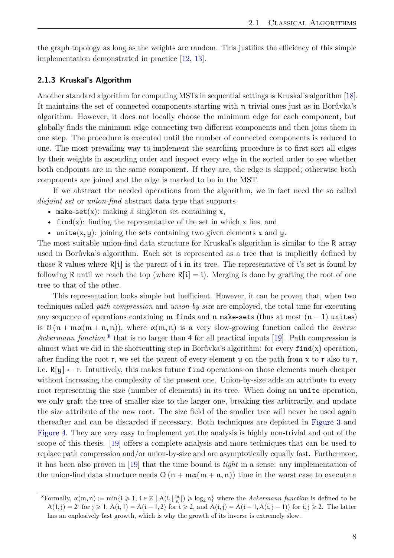<span id="page-13-2"></span>the graph topology as long as the weights are random. This justifies the efficiency of this simple implementation demonstrated in practice [\[12,](#page-55-12) [13\]](#page-55-13).

#### <span id="page-13-0"></span>**2.1.3 Kruskal's Algorithm**

Another standard algorithm for computing MSTs in sequential settings is Kruskal's algorithm [\[18\]](#page-56-2). It maintains the set of connected components starting with n trivial ones just as in Borůvka's algorithm. However, it does not locally choose the minimum edge for each component, but globally finds the minimum edge connecting two different components and then joins them in one step. The procedure is executed until the number of connected components is reduced to one. The most prevailing way to implement the searching procedure is to first sort all edges by their weights in ascending order and inspect every edge in the sorted order to see whether both endpoints are in the same component. If they are, the edge is skipped; otherwise both components are joined and the edge is marked to be in the MST.

If we abstract the needed operations from the algorithm, we in fact need the so called *disjoint set* or *union-find* abstract data type that supports

- make-set(x): making a singleton set containing x,
- find(x): finding the representative of the set in which x lies, and
- unite $(x, y)$ : joining the sets containing two given elements x and y.

The most suitable union-find data structure for Kruskal's algorithm is similar to the R array used in Borůvka's algorithm. Each set is represented as a tree that is implicitly defined by those R values where  $R[i]$  is the parent of i in its tree. The representative of i's set is found by following R until we reach the top (where  $R[i] = i$ ). Merging is done by grafting the root of one tree to that of the other.

This representation looks simple but inefficient. However, it can be proven that, when two techniques called *path compression* and *union-by-size* are employed, the total time for executing any sequence of operations containing m finds and n make-sets (thus at most  $(n - 1)$  unites) is  $\mathcal{O}(n + \max(m + n, n))$ , where  $\alpha(m, n)$  is a very slow-growing function called the *inverse* Ackermann function<sup>[8](#page-13-1)</sup> that is no larger than 4 for all practical inputs [\[19\]](#page-56-3). Path compression is almost what we did in the shortcutting step in Borůvka's algorithm: for every  $\text{find}(x)$  operation, after finding the root r, we set the parent of every element y on the path from  $x$  to r also to r, i.e.  $R[y] \leftarrow r$ . Intuitively, this makes future find operations on those elements much cheaper without increasing the complexity of the present one. Union-by-size adds an attribute to every root representing the size (number of elements) in its tree. When doing an unite operation, we only graft the tree of smaller size to the larger one, breaking ties arbitrarily, and update the size attribute of the new root. The size field of the smaller tree will never be used again thereafter and can be discarded if necessary. Both techniques are depicted in [Figure 3](#page-14-1) and [Figure 4.](#page-14-2) They are very easy to implement yet the analysis is highly non-trivial and out of the scope of this thesis. [\[19\]](#page-56-3) offers a complete analysis and more techniques that can be used to replace path compression and/or union-by-size and are asymptotically equally fast. Furthermore, it has been also proven in [\[19\]](#page-56-3) that the time bound is *tight* in a sense: any implementation of the union-find data structure needs  $\Omega(n + m\alpha(m + n, n))$  time in the worst case to execute a

<span id="page-13-1"></span> ${}^8$ Formally,  $\alpha(m, n) := \min\{i \geq 1, i \in \mathbb{Z} \mid A(i, \lfloor \frac{m}{n} \rfloor) \geq \log_2 n\}$  where the *Ackermann function* is defined to be  $A(1, j) = 2^j$  for  $j \ge 1$ ,  $A(i, 1) = A(i - 1, 2)$  for  $i \ge 2$ , and  $A(i, j) = A(i - 1, A(i, j - 1))$  for  $i, j \ge 2$ . The latter has an explosively fast growth, which is why the growth of its inverse is extremely slow.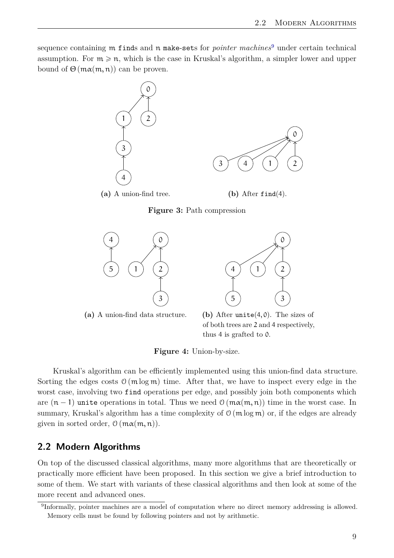<span id="page-14-1"></span>sequence containing m finds and n make-sets for *pointer machines*[9](#page-14-3) under certain technical assumption. For  $m \geq n$ , which is the case in Kruskal's algorithm, a simpler lower and upper bound of  $\Theta$  ( $m\alpha(m, n)$ ) can be proven.



<span id="page-14-2"></span>



**(a)** A union-find data structure.



**Figure 4:** Union-by-size.

Kruskal's algorithm can be efficiently implemented using this union-find data structure. Sorting the edges costs  $\mathcal{O}(m \log m)$  time. After that, we have to inspect every edge in the worst case, involving two find operations per edge, and possibly join both components which are  $(n - 1)$  unite operations in total. Thus we need  $\mathcal{O}(m\alpha(m, n))$  time in the worst case. In summary, Kruskal's algorithm has a time complexity of  $\mathcal{O}$  (m log m) or, if the edges are already given in sorted order,  $\mathcal{O}(m\alpha(m, n)).$ 

## <span id="page-14-0"></span>**2.2 Modern Algorithms**

On top of the discussed classical algorithms, many more algorithms that are theoretically or practically more efficient have been proposed. In this section we give a brief introduction to some of them. We start with variants of these classical algorithms and then look at some of the more recent and advanced ones.

<span id="page-14-3"></span><sup>&</sup>lt;sup>9</sup>Informally, pointer machines are a model of computation where no direct memory addressing is allowed. Memory cells must be found by following pointers and not by arithmetic.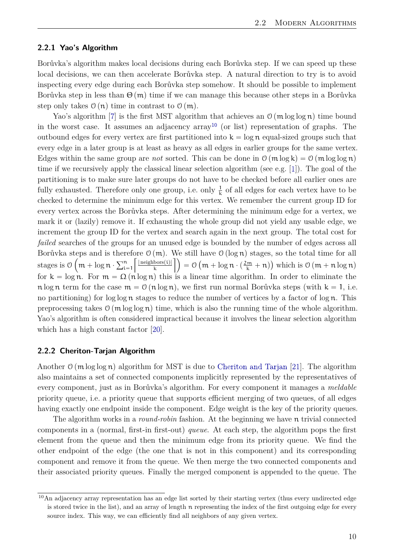#### <span id="page-15-3"></span><span id="page-15-0"></span>**2.2.1 Yao's Algorithm**

Borůvka's algorithm makes local decisions during each Borůvka step. If we can speed up these local decisions, we can then accelerate Borůvka step. A natural direction to try is to avoid inspecting every edge during each Borůvka step somehow. It should be possible to implement Borůvka step in less than  $\Theta(m)$  time if we can manage this because other steps in a Borůvka step only takes  $\mathcal{O}(n)$  time in contrast to  $\mathcal{O}(m)$ .

Yao's algorithm [\[7\]](#page-55-7) is the first MST algorithm that achieves an  $\mathcal{O}(\mathfrak{m} \log \log n)$  time bound in the worst case. It assumes an adjacency  $\arctan^{10}$  $\arctan^{10}$  $\arctan^{10}$  (or list) representation of graphs. The outbound edges for every vertex are first partitioned into  $k = \log n$  equal-sized groups such that every edge in a later group is at least as heavy as all edges in earlier groups for the same vertex. Edges within the same group are *not* sorted. This can be done in  $\mathcal{O}(m \log k) = \mathcal{O}(m \log \log n)$ time if we recursively apply the classical linear selection algorithm (see e.g. [\[1\]](#page-55-1)). The goal of the partitioning is to make sure later groups do not have to be checked before all earlier ones are fully exhausted. Therefore only one group, i.e. only  $\frac{1}{k}$  of all edges for each vertex have to be checked to determine the minimum edge for this vertex. We remember the current group ID for every vertex across the Borůvka steps. After determining the minimum edge for a vertex, we mark it or (lazily) remove it. If exhausting the whole group did not yield any usable edge, we increment the group ID for the vertex and search again in the next group. The total cost for *failed* searches of the groups for an unused edge is bounded by the number of edges across all Borůvka steps and is therefore  $\mathfrak{O}(m)$ . We still have  $\mathfrak{O}(\log n)$  stages, so the total time for all stages is  $\mathfrak{O} \big( \operatorname{\mathfrak{m}}\nolimits + \log \operatorname{\mathfrak{n}}\nolimits \cdot \big)$ ner<br>Vit  $i=1$  $|$  neighbors $(i)|$  $\frac{\text{Dors}(\mathfrak{t})|}{k}$   $\Big|$   $\Big) = \mathcal{O}$ `  $m + \log n \cdot (\frac{2m}{k} + n)$  $,$ which is  $O(m + n \log n)$ for  $k = \log n$ . For  $m = \Omega(n \log n)$  this is a linear time algorithm. In order to eliminate the n log n term for the case  $m = \mathcal{O}(n \log n)$ , we first run normal Borůvka steps (with k = 1, i.e. no partitioning) for  $\log \log n$  stages to reduce the number of vertices by a factor of  $\log n$ . This preprocessing takes  $\mathcal{O}(m \log \log n)$  time, which is also the running time of the whole algorithm. Yao's algorithm is often considered impractical because it involves the linear selection algorithm which has a high constant factor [\[20\]](#page-56-4).

#### <span id="page-15-1"></span>**2.2.2 Cheriton-Tarjan Algorithm**

Another  $\mathcal{O}(\mathfrak{m} \log \log n)$  algorithm for MST is due to [Cheriton and Tarjan](#page-56-5) [\[21\]](#page-56-5). The algorithm also maintains a set of connected components implicitly represented by the representatives of every component, just as in Borůvka's algorithm. For every component it manages a *meldable* priority queue, i.e. a priority queue that supports efficient merging of two queues, of all edges having exactly one endpoint inside the component. Edge weight is the key of the priority queues.

The algorithm works in a *round-robin* fashion. At the beginning we have n trivial connected components in a (normal, first-in first-out) *queue*. At each step, the algorithm pops the first element from the queue and then the minimum edge from its priority queue. We find the other endpoint of the edge (the one that is not in this component) and its corresponding component and remove it from the queue. We then merge the two connected components and their associated priority queues. Finally the merged component is appended to the queue. The

<span id="page-15-2"></span><sup>&</sup>lt;sup>10</sup>An adjacency array representation has an edge list sorted by their starting vertex (thus every undirected edge is stored twice in the list), and an array of length n representing the index of the first outgoing edge for every source index. This way, we can efficiently find all neighbors of any given vertex.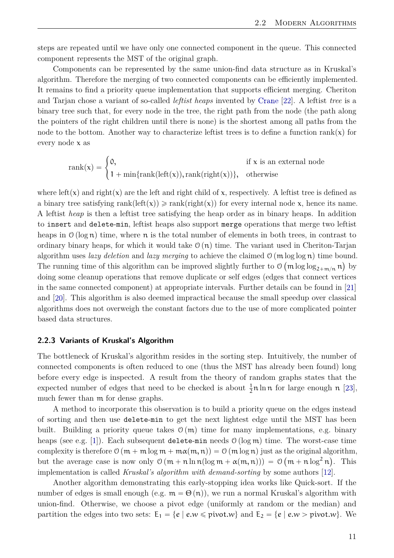<span id="page-16-1"></span>steps are repeated until we have only one connected component in the queue. This connected component represents the MST of the original graph.

Components can be represented by the same union-find data structure as in Kruskal's algorithm. Therefore the merging of two connected components can be efficiently implemented. It remains to find a priority queue implementation that supports efficient merging. Cheriton and Tarjan chose a variant of so-called *leftist heaps* invented by [Crane](#page-56-6) [\[22\]](#page-56-6). A leftist *tree* is a binary tree such that, for every node in the tree, the right path from the node (the path along the pointers of the right children until there is none) is the shortest among all paths from the node to the bottom. Another way to characterize leftist trees is to define a function rank( $x$ ) for every node x as

$$
\mathrm{rank}(x) = \begin{cases} 0, & \text{if } x \text{ is an external node} \\ 1 + \min\{\mathrm{rank}(\mathrm{left}(x)), \mathrm{rank}(\mathrm{right}(x))\}, & \text{otherwise} \end{cases}
$$

where left(x) and right(x) are the left and right child of x, respectively. A leftist tree is defined as a binary tree satisfying rank(left(x))  $\geq$  rank(right(x)) for every internal node x, hence its name. A leftist *heap* is then a leftist tree satisfying the heap order as in binary heaps. In addition to insert and delete-min, leftist heaps also support merge operations that merge two leftist heaps in  $\mathcal{O}(\log n)$  time, where n is the total number of elements in both trees, in contrast to ordinary binary heaps, for which it would take  $\mathcal{O}(n)$  time. The variant used in Cheriton-Tarjan algorithm uses *lazy deletion* and *lazy merging* to achieve the claimed  $\mathcal{O}(\mathfrak{m} \log \log \mathfrak{n})$  time bound. The running time of this algorithm can be improved slightly further to  $\mathcal{O}(\mathfrak{m} \log \log_{2+m/n} \mathfrak{n})$  by doing some cleanup operations that remove duplicate or self edges (edges that connect vertices in the same connected component) at appropriate intervals. Further details can be found in [\[21\]](#page-56-5) and [\[20\]](#page-56-4). This algorithm is also deemed impractical because the small speedup over classical algorithms does not overweigh the constant factors due to the use of more complicated pointer based data structures.

#### <span id="page-16-0"></span>**2.2.3 Variants of Kruskal's Algorithm**

The bottleneck of Kruskal's algorithm resides in the sorting step. Intuitively, the number of connected components is often reduced to one (thus the MST has already been found) long before every edge is inspected. A result from the theory of random graphs states that the expected number of edges that need to be checked is about  $\frac{1}{2}n \ln n$  for large enough n [\[23\]](#page-56-7), much fewer than m for dense graphs.

A method to incorporate this observation is to build a priority queue on the edges instead of sorting and then use delete-min to get the next lightest edge until the MST has been built. Building a priority queue takes  $\mathcal{O}(m)$  time for many implementations, e.g. binary heaps (see e.g. [\[1\]](#page-55-1)). Each subsequent delete-min needs  $\mathcal{O}(\log m)$  time. The worst-case time complexity is therefore  $\mathcal{O}(m + m \log m + m \alpha(m, n)) = \mathcal{O}(m \log n)$  just as the original algorithm, but the average case is now only  $\mathfrak{O}(\mathfrak{m} + \mathfrak{n} \ln \mathfrak{n} (\log \mathfrak{m} + \alpha(\mathfrak{m}, \mathfrak{n}))) = \mathfrak{O}(\mathfrak{m} + \mathfrak{n} \log^2 \mathfrak{n}).$  This implementation is called *Kruskal's algorithm with demand-sorting* by some authors [\[12\]](#page-55-12).

Another algorithm demonstrating this early-stopping idea works like Quick-sort. If the number of edges is small enough (e.g.  $m = \Theta(n)$ ), we run a normal Kruskal's algorithm with union-find. Otherwise, we choose a pivot edge (uniformly at random or the median) and partition the edges into two sets:  $E_1 = \{e \mid e.w \leq pivot.w\}$  and  $E_2 = \{e \mid e.w > pivot.w\}$ . We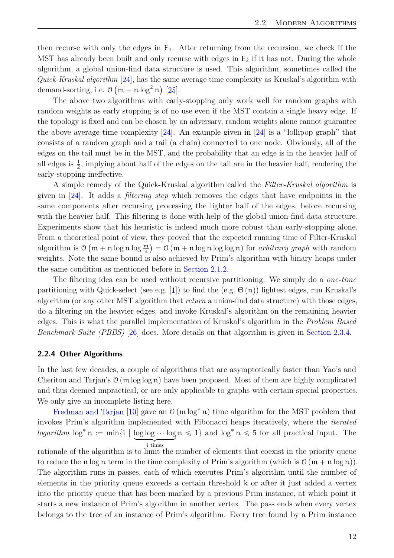<span id="page-17-1"></span>then recurse with only the edges in  $E_1$ . After returning from the recursion, we check if the MST has already been built and only recurse with edges in  $E_2$  if it has not. During the whole algorithm, a global union-find data structure is used. This algorithm, sometimes called the Quick-Kruskal algorithm [\[24\]](#page-56-8), has the same average time complexity as Kruskal's algorithm with demand-sorting, i.e.  $\mathcal{O}(m + n \log^2 n)$  [\[25\]](#page-56-9).

The above two algorithms with early-stopping only work well for random graphs with random weights as early stopping is of no use even if the MST contain a single heavy edge. If the topology is fixed and can be chosen by an adversary, random weights alone cannot guarantee the above average time complexity [\[24\]](#page-56-8). An example given in [\[24\]](#page-56-8) is a "lollipop graph" that consists of a random graph and a tail (a chain) connected to one node. Obviously, all of the edges on the tail must be in the MST, and the probability that an edge is in the heavier half of all edges is  $\frac{1}{2}$ , implying about half of the edges on the tail are in the heavier half, rendering the early-stopping ineffective.

A simple remedy of the Quick-Kruskal algorithm called the *Filter-Kruskal algorithm* is given in [\[24\]](#page-56-8). It adds a *filtering step* which removes the edges that have endpoints in the same components after recursing processing the lighter half of the edges, before recursing with the heavier half. This filtering is done with help of the global union-find data structure. Experiments show that his heuristic is indeed much more robust than early-stopping alone. From a theoretical point of view, they proved that the expected running time of Filter-Kruskal algorithm is  $\mathcal{O}\left(\mathfrak{m} + \mathfrak{n} \log \mathfrak{n} \log \frac{\mathfrak{m}}{\mathfrak{n}}\right) = \mathcal{O}\left(\mathfrak{m} + \mathfrak{n} \log \mathfrak{n} \log \log \mathfrak{n}\right)$  for *arbitrary graph* with random weights. Note the same bound is also achieved by Prim's algorithm with binary heaps under the same condition as mentioned before in [Section 2.1.2.](#page-12-0)

The filtering idea can be used without recursive partitioning. We simply do a *one-time* partitioning with Quick-select (see e.g. [\[1\]](#page-55-1)) to find the (e.g.  $\Theta(n)$ ) lightest edges, run Kruskal's algorithm (or any other MST algorithm that *return* a union-find data structure) with those edges, do a filtering on the heavier edges, and invoke Kruskal's algorithm on the remaining heavier edges. This is what the parallel implementation of Kruskal's algorithm in the *Problem Based Benchmark Suite (PBBS)* [\[26\]](#page-56-10) does. More details on that algorithm is given in [Section 2.3.4.](#page-23-1)

#### <span id="page-17-0"></span>**2.2.4 Other Algorithms**

In the last few decades, a couple of algorithms that are asymptotically faster than Yao's and Cheriton and Tarjan's  $O(m \log \log n)$  have been proposed. Most of them are highly complicated and thus deemed impractical, or are only applicable to graphs with certain special properties. We only give an incomplete listing here.

[Fredman and Tarjan](#page-55-10) [\[10\]](#page-55-10) gave an  $\mathcal{O}(m \log^* n)$  time algorithm for the MST problem that invokes Prim's algorithm implemented with Fibonacci heaps iteratively, where the *iterated*  $logarithm \log^* n := \min\{i \mid \log \log \cdots \log n \leq 1\}$  and  $\log^* n \leq 5$  for all practical input. The i times

rationale of the algorithm is to limit the number of elements that coexist in the priority queue to reduce the  $\mathfrak{n} \log \mathfrak{n}$  term in the time complexity of Prim's algorithm (which is  $\mathfrak{O}(\mathfrak{m} + \mathfrak{n} \log \mathfrak{n})$ ). The algorithm runs in passes, each of which executes Prim's algorithm until the number of elements in the priority queue exceeds a certain threshold k or after it just added a vertex into the priority queue that has been marked by a previous Prim instance, at which point it starts a new instance of Prim's algorithm in another vertex. The pass ends when every vertex belongs to the tree of an instance of Prim's algorithm. Every tree found by a Prim instance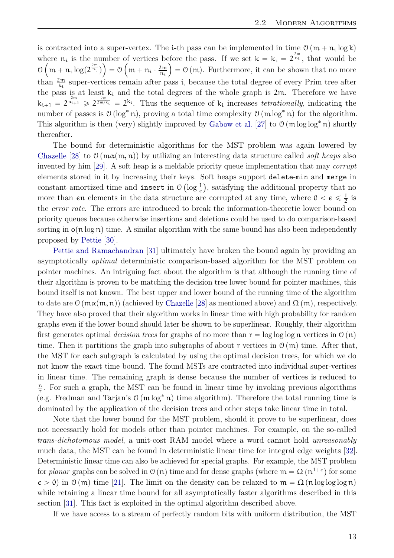<span id="page-18-0"></span>is contracted into a super-vertex. The *i*-th pass can be implemented in time  $\mathcal{O}(m + n_i \log k)$ where  $n_i$  is the number of vertices before the pass. If we set  $k = k_i = 2^{\frac{2m}{n_i}}$ , that would be  $\mathcal{O}\left(m + n_i \log(2^{\frac{2m}{n_i}})\right) = \mathcal{O}\left(m + n_i \cdot \frac{2m}{n_i}\right)$  $\left(\frac{2m}{n_i}\right) = O(m)$ . Furthermore, it can be shown that no more than  $\frac{2m}{k_i}$  super-vertices remain after pass *i*, because the total degree of every Prim tree after the pass is at least  $k_i$  and the total degrees of the whole graph is 2m. Therefore we have  $k_{i+1} = 2^{\frac{2m}{n_{i+1}}} \geqslant 2^{\frac{2m}{2m/k_i}} = 2^{k_i}$ . Thus the sequence of  $k_i$  increases *tetrationally*, indicating the number of passes is  $\mathcal{O}(\log^* n)$ , proving a total time complexity  $\mathcal{O}(\text{m log}^* n)$  for the algorithm. This algorithm is then (very) slightly improved by [Gabow et al.](#page-56-11) [\[27\]](#page-56-11) to  $\mathcal{O}(\mathfrak{m} \log \log^* n)$  shortly thereafter.

The bound for deterministic algorithms for the MST problem was again lowered by [Chazelle](#page-56-12) [\[28\]](#page-56-12) to  $\mathcal{O}(\text{m}\alpha(\text{m}, \text{n}))$  by utilizing an interesting data structure called *soft heaps* also invented by him [\[29\]](#page-56-13). A soft heap is a meldable priority queue implementation that may *corrupt* elements stored in it by increasing their keys. Soft heaps support delete-min and merge in constant amortized time and insert in  $\mathcal{O}(\log \frac{1}{\epsilon})$ , satisfying the additional property that no more than  $\epsilon$ n elements in the data structure are corrupted at any time, where  $0 < \epsilon \leq \frac{1}{2}$  is the *error rate*. The errors are introduced to break the information-theoretic lower bound on priority queues because otherwise insertions and deletions could be used to do comparison-based sorting in  $o(n \log n)$  time. A similar algorithm with the same bound has also been independently proposed by [Pettie](#page-56-14) [\[30\]](#page-56-14).

[Pettie and Ramachandran](#page-56-15) [\[31\]](#page-56-15) ultimately have broken the bound again by providing an asymptotically *optimal* deterministic comparison-based algorithm for the MST problem on pointer machines. An intriguing fact about the algorithm is that although the running time of their algorithm is proven to be matching the decision tree lower bound for pointer machines, this bound itself is not known. The best upper and lower bound of the running time of the algorithm to date are  $\mathcal{O}(\max(\mathfrak{m}, \mathfrak{n}))$  (achieved by [Chazelle](#page-56-12) [\[28\]](#page-56-12) as mentioned above) and  $\Omega(\mathfrak{m})$ , respectively. They have also proved that their algorithm works in linear time with high probability for random graphs even if the lower bound should later be shown to be superlinear. Roughly, their algorithm first generates optimal *decision trees* for graphs of no more than  $r = \log \log \log n$  vertices in  $\theta(n)$ time. Then it partitions the graph into subgraphs of about r vertices in  $\mathcal{O}(m)$  time. After that, the MST for each subgraph is calculated by using the optimal decision trees, for which we do not know the exact time bound. The found MSTs are contracted into individual super-vertices in linear time. The remaining graph is dense because the number of vertices is reduced to n  $\frac{n}{r}$ . For such a graph, the MST can be found in linear time by invoking previous algorithms (e.g. Fredman and Tarjan's  $\mathcal{O}(m \log^* n)$  time algorithm). Therefore the total running time is dominated by the application of the decision trees and other steps take linear time in total.

Note that the lower bound for the MST problem, should it prove to be superlinear, does not necessarily hold for models other than pointer machines. For example, on the so-called *trans-dichotomous model*, a unit-cost RAM model where a word cannot hold *unreasonably* much data, the MST can be found in deterministic linear time for integral edge weights [\[32\]](#page-57-0). Deterministic linear time can also be achieved for special graphs. For example, the MST problem for *planar* graphs can be solved in  $\vartheta$  (n) time and for dense graphs (where  $m = \Omega(n^{1+\epsilon})$  for some  $\epsilon > 0$ ) in  $\mathcal{O}(m)$  time [\[21\]](#page-56-5). The limit on the density can be relaxed to  $m = \Omega(n \log \log \log n)$ while retaining a linear time bound for all asymptotically faster algorithms described in this section [\[31\]](#page-56-15). This fact is exploited in the optimal algorithm described above.

If we have access to a stream of perfectly random bits with uniform distribution, the MST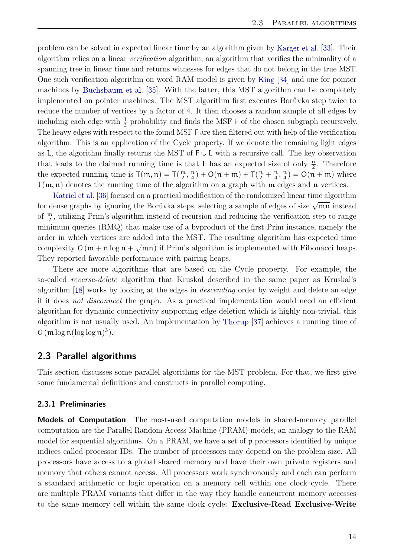<span id="page-19-2"></span>problem can be solved in expected linear time by an algorithm given by [Karger et al.](#page-57-1) [\[33\]](#page-57-1). Their algorithm relies on a linear *verification* algorithm, an algorithm that verifies the minimality of a spanning tree in linear time and returns witnesses for edges that do not belong in the true MST. One such verification algorithm on word RAM model is given by [King](#page-57-2) [\[34\]](#page-57-2) and one for pointer machines by [Buchsbaum et al.](#page-57-3) [\[35\]](#page-57-3). With the latter, this MST algorithm can be completely implemented on pointer machines. The MST algorithm first executes Borůvka step twice to reduce the number of vertices by a factor of 4. It then chooses a random sample of all edges by including each edge with  $\frac{1}{2}$  probability and finds the MSF F of the chosen subgraph recursively. The heavy edges with respect to the found MSF F are then filtered out with help of the verification algorithm. This is an application of the Cycle property. If we denote the remaining light edges as L, the algorithm finally returns the MST of  $F \cup L$  with a recursive call. The key observation that leads to the claimed running time is that L has an expected size of only  $\frac{n}{2}$ . Therefore the expected running time is  $T(m, n) = T(\frac{m}{2})$  $\frac{m}{2}, \frac{n}{4}$  $\frac{\pi}{4}$ ) + O(n + m) + T( $\frac{\pi}{2}$  +  $\frac{\pi}{4}$ ,  $\frac{\pi}{4}$  $\frac{\pi}{4}$ ) =  $O(n + m)$  where  $T(m, n)$  denotes the running time of the algorithm on a graph with m edges and n vertices.

[Katriel et al.](#page-57-4) [\[36\]](#page-57-4) focused on a practical modification of the randomized linear time algorithm for dense graphs by ignoring the Borůvka steps, selecting a sample of edges of size  $\sqrt{mn}$  instead of  $\frac{m}{2}$ , utilizing Prim's algorithm instead of recursion and reducing the verification step to range minimum queries (RMQ) that make use of a byproduct of the first Prim instance, namely the order in which vertices are added into the MST. The resulting algorithm has expected time complexity  $\mathcal{O}(m + n \log n + \sqrt{mn})$  if Prim's algorithm is implemented with Fibonacci heaps. They reported favorable performance with pairing heaps.

There are more algorithms that are based on the Cycle property. For example, the so-called *reverse-delete* algorithm that Kruskal described in the same paper as Kruskal's algorithm [\[18\]](#page-56-2) works by looking at the edges in *descending* order by weight and delete an edge if it does *not disconnect* the graph. As a practical implementation would need an efficient algorithm for dynamic connectivity supporting edge deletion which is highly non-trivial, this algorithm is not usually used. An implementation by [Thorup](#page-57-5) [\[37\]](#page-57-5) achieves a running time of  $\mathfrak{O}\left(\mathfrak{m}\log\mathfrak{n}(\log\log\mathfrak{n})^3\right)$ .

### <span id="page-19-0"></span>**2.3 Parallel algorithms**

This section discusses some parallel algorithms for the MST problem. For that, we first give some fundamental definitions and constructs in parallel computing.

#### <span id="page-19-1"></span>**2.3.1 Preliminaries**

**Models of Computation** The most-used computation models in shared-memory parallel computation are the Parallel Random-Access Machine (PRAM) models, an analogy to the RAM model for sequential algorithms. On a PRAM, we have a set of p processors identified by unique indices called processor IDs. The number of processors may depend on the problem size. All processors have access to a global shared memory and have their own private registers and memory that others cannot access. All processors work synchronously and each can perform a standard arithmetic or logic operation on a memory cell within one clock cycle. There are multiple PRAM variants that differ in the way they handle concurrent memory accesses to the same memory cell within the same clock cycle: **Exclusive-Read Exclusive-Write**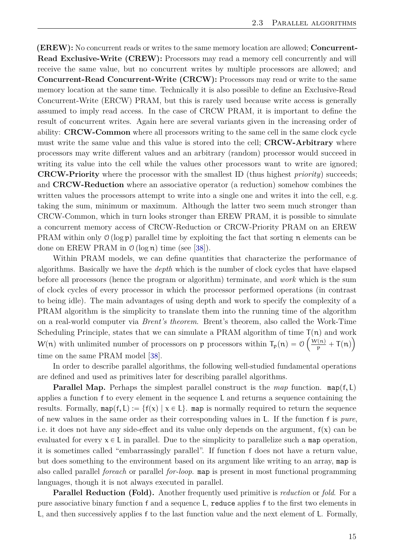<span id="page-20-0"></span>**(EREW):** No concurrent reads or writes to the same memory location are allowed; **Concurrent-Read Exclusive-Write (CREW):** Processors may read a memory cell concurrently and will receive the same value, but no concurrent writes by multiple processors are allowed; and **Concurrent-Read Concurrent-Write (CRCW):** Processors may read or write to the same memory location at the same time. Technically it is also possible to define an Exclusive-Read Concurrent-Write (ERCW) PRAM, but this is rarely used because write access is generally assumed to imply read access. In the case of CRCW PRAM, it is important to define the result of concurrent writes. Again here are several variants given in the increasing order of ability: **CRCW-Common** where all processors writing to the same cell in the same clock cycle must write the same value and this value is stored into the cell; **CRCW-Arbitrary** where processors may write different values and an arbitrary (random) processor would succeed in writing its value into the cell while the values other processors want to write are ignored; **CRCW-Priority** where the processor with the smallest ID (thus highest *priority*) succeeds; and **CRCW-Reduction** where an associative operator (a reduction) somehow combines the written values the processors attempt to write into a single one and writes it into the cell, e.g. taking the sum, minimum or maximum. Although the latter two seem much stronger than CRCW-Common, which in turn looks stronger than EREW PRAM, it is possible to simulate a concurrent memory access of CRCW-Reduction or CRCW-Priority PRAM on an EREW PRAM within only  $\mathcal{O}(\log p)$  parallel time by exploiting the fact that sorting n elements can be done on EREW PRAM in  $\mathcal{O}(\log n)$  time (see [\[38\]](#page-57-6)).

Within PRAM models, we can define quantities that characterize the performance of algorithms. Basically we have the *depth* which is the number of clock cycles that have elapsed before all processors (hence the program or algorithm) terminate, and *work* which is the sum of clock cycles of every processor in which the processor performed operations (in contrast to being idle). The main advantages of using depth and work to specify the complexity of a PRAM algorithm is the simplicity to translate them into the running time of the algorithm on a real-world computer via *Brent's theorem*. Brent's theorem, also called the Work-Time Scheduling Principle, states that we can simulate a PRAM algorithm of time  $T(n)$  and work  $W(n)$  with unlimited number of processors on p processors within  $T_p(n) = O\left(\frac{W(n)}{p} + T(n)\right)$ time on the same PRAM model [\[38\]](#page-57-6).

In order to describe parallel algorithms, the following well-studied fundamental operations are defined and used as primitives later for describing parallel algorithms.

**Parallel Map.** Perhaps the simplest parallel construct is the *map* function. map $(f, L)$ applies a function f to every element in the sequence L and returns a sequence containing the results. Formally,  $map(f, L) := \{f(x) | x \in L\}$ . map is normally required to return the sequence of new values in the same order as their corresponding values in L. If the function f is *pure*, i.e. it does not have any side-effect and its value only depends on the argument,  $f(x)$  can be evaluated for every  $x \in L$  in parallel. Due to the simplicity to parallelize such a map operation, it is sometimes called "embarrassingly parallel". If function f does not have a return value, but does something to the environment based on its argument like writing to an array, map is also called parallel *foreach* or parallel *for-loop*. map is present in most functional programming languages, though it is not always executed in parallel.

**Parallel Reduction (Fold).** Another frequently used primitive is *reduction* or *fold*. For a pure associative binary function f and a sequence L, reduce applies f to the first two elements in L, and then successively applies f to the last function value and the next element of L. Formally,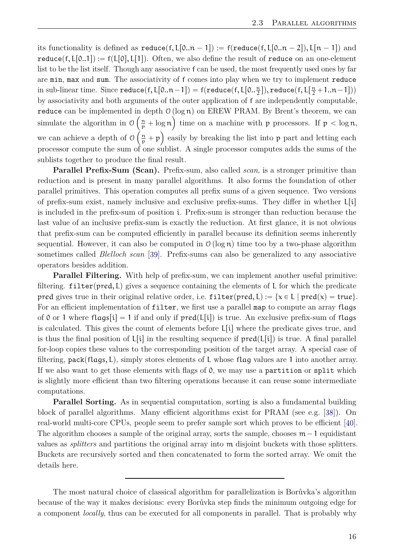<span id="page-21-0"></span>its functionality is defined as reduce(f,  $L[0..n - 1]$ ) := f(reduce(f, L[0..n - 2]), L[n - 1]) and reduce  $(f, L[0..1]) := f(L[0], L[1])$ . Often, we also define the result of reduce on an one-element list to be the list itself. Though any associative f can be used, the most frequently used ones by far are min, max and sum. The associativity of f comes into play when we try to implement reduce in sub-linear time. Since  $\textsf{reduce}(\mathsf{f},\mathsf{L}[0..n-1]) = \mathsf{f}(\textsf{reduce}(\mathsf{f},\mathsf{L}[0..\frac{n}{2}]),\textsf{reduce}(\mathsf{f},\mathsf{L}[\frac{n}{2}+1..n-1]))$ by associativity and both arguments of the outer application of f are independently computable,  $\verb|reduce| can be implemented in depth 0 (log n) on EREW PRAM. By Brent's theorem, we can$ simulate the algorithm in  $\mathcal{O}\left(\frac{n}{p} + \log n\right)$  time on a machine with p processors. If  $p < \log n$ , we can achieve a depth of O \  $\frac{n}{p} + p$ ש<br>. easily by breaking the list into  $p$  part and letting each processor compute the sum of one sublist. A single processor computes adds the sums of the sublists together to produce the final result.

**Parallel Prefix-Sum (Scan).** Prefix-sum, also called *scan*, is a stronger primitive than reduction and is present in many parallel algorithms. It also forms the foundation of other parallel primitives. This operation computes all prefix sums of a given sequence. Two versions of prefix-sum exist, namely inclusive and exclusive prefix-sums. They differ in whether  $L[i]$ is included in the prefix-sum of position i. Prefix-sum is stronger than reduction because the last value of an inclusive prefix-sum is exactly the reduction. At first glance, it is not obvious that prefix-sum can be computed efficiently in parallel because its definition seems inherently sequential. However, it can also be computed in  $\mathcal{O}(\log n)$  time too by a two-phase algorithm sometimes called *Blelloch scan* [\[39\]](#page-57-7). Prefix-sums can also be generalized to any associative operators besides addition.

**Parallel Filtering.** With help of prefix-sum, we can implement another useful primitive: filtering.  $fintercept(\text{pred}, L)$  gives a sequence containing the elements of L for which the predicate pred gives true in their original relative order, i.e.  $\text{filter}(\text{pred}, L) := \{x \in L \mid \text{pred}(x) = \text{true}\}.$ For an efficient implementation of filter, we first use a parallel map to compute an array flags of 0 or 1 where flags[i] = 1 if and only if  $pred(L[i])$  is true. An exclusive prefix-sum of flags is calculated. This gives the count of elements before  $L[i]$  where the predicate gives true, and is thus the final position of  $L[i]$  in the resulting sequence if  $pred(L[i])$  is true. A final parallel for-loop copies these values to the corresponding position of the target array. A special case of filtering,  $pack(flags, L)$ , simply stores elements of L whose flag values are 1 into another array. If we also want to get those elements with flags of 0, we may use a partition or split which is slightly more efficient than two filtering operations because it can reuse some intermediate computations.

**Parallel Sorting.** As in sequential computation, sorting is also a fundamental building block of parallel algorithms. Many efficient algorithms exist for PRAM (see e.g. [\[38\]](#page-57-6)). On real-world multi-core CPUs, people seem to prefer sample sort which proves to be efficient [\[40\]](#page-57-8). The algorithm chooses a sample of the original array, sorts the sample, chooses  $m-1$  equidistant values as *splitters* and partitions the original array into m disjoint buckets with those splitters. Buckets are recursively sorted and then concatenated to form the sorted array. We omit the details here.

The most natural choice of classical algorithm for parallelization is Borůvka's algorithm because of the way it makes decisions: every Borůvka step finds the minimum outgoing edge for a component *locally*, thus can be executed for all components in parallel. That is probably why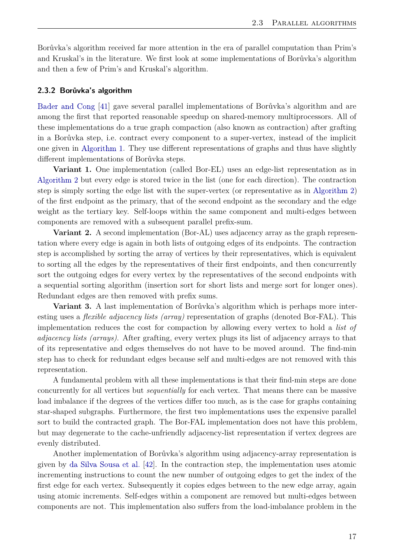<span id="page-22-1"></span>Borůvka's algorithm received far more attention in the era of parallel computation than Prim's and Kruskal's in the literature. We first look at some implementations of Borůvka's algorithm and then a few of Prim's and Kruskal's algorithm.

#### <span id="page-22-0"></span>**2.3.2 Borůvka's algorithm**

[Bader and Cong](#page-57-9) [\[41\]](#page-57-9) gave several parallel implementations of Borůvka's algorithm and are among the first that reported reasonable speedup on shared-memory multiprocessors. All of these implementations do a true graph compaction (also known as contraction) after grafting in a Borůvka step, i.e. contract every component to a super-vertex, instead of the implicit one given in [Algorithm 1.](#page-10-0) They use different representations of graphs and thus have slightly different implementations of Borůvka steps.

**Variant 1.** One implementation (called Bor-EL) uses an edge-list representation as in [Algorithm 2](#page-11-1) but every edge is stored twice in the list (one for each direction). The contraction step is simply sorting the edge list with the super-vertex (or representative as in [Algorithm 2\)](#page-11-1) of the first endpoint as the primary, that of the second endpoint as the secondary and the edge weight as the tertiary key. Self-loops within the same component and multi-edges between components are removed with a subsequent parallel prefix-sum.

**Variant 2.** A second implementation (Bor-AL) uses adjacency array as the graph representation where every edge is again in both lists of outgoing edges of its endpoints. The contraction step is accomplished by sorting the array of vertices by their representatives, which is equivalent to sorting all the edges by the representatives of their first endpoints, and then concurrently sort the outgoing edges for every vertex by the representatives of the second endpoints with a sequential sorting algorithm (insertion sort for short lists and merge sort for longer ones). Redundant edges are then removed with prefix sums.

**Variant 3.** A last implementation of Borůvka's algorithm which is perhaps more interesting uses a *flexible adjacency lists (array)* representation of graphs (denoted Bor-FAL). This implementation reduces the cost for compaction by allowing every vertex to hold a *list of adjacency lists (arrays)*. After grafting, every vertex plugs its list of adjacency arrays to that of its representative and edges themselves do not have to be moved around. The find-min step has to check for redundant edges because self and multi-edges are not removed with this representation.

A fundamental problem with all these implementations is that their find-min steps are done concurrently for all vertices but *sequentially* for each vertex. That means there can be massive load imbalance if the degrees of the vertices differ too much, as is the case for graphs containing star-shaped subgraphs. Furthermore, the first two implementations uses the expensive parallel sort to build the contracted graph. The Bor-FAL implementation does not have this problem, but may degenerate to the cache-unfriendly adjacency-list representation if vertex degrees are evenly distributed.

Another implementation of Borůvka's algorithm using adjacency-array representation is given by [da Silva Sousa et al.](#page-57-10) [\[42\]](#page-57-10). In the contraction step, the implementation uses atomic incrementing instructions to count the new number of outgoing edges to get the index of the first edge for each vertex. Subsequently it copies edges between to the new edge array, again using atomic increments. Self-edges within a component are removed but multi-edges between components are not. This implementation also suffers from the load-imbalance problem in the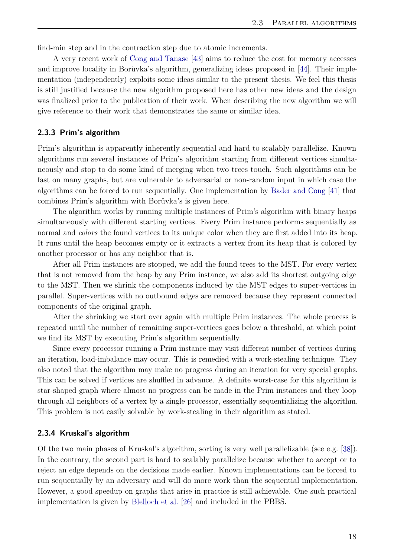<span id="page-23-2"></span>find-min step and in the contraction step due to atomic increments.

A very recent work of [Cong and Tanase](#page-57-11) [\[43\]](#page-57-11) aims to reduce the cost for memory accesses and improve locality in Borůvka's algorithm, generalizing ideas proposed in [\[44\]](#page-57-12). Their implementation (independently) exploits some ideas similar to the present thesis. We feel this thesis is still justified because the new algorithm proposed here has other new ideas and the design was finalized prior to the publication of their work. When describing the new algorithm we will give reference to their work that demonstrates the same or similar idea.

#### <span id="page-23-0"></span>**2.3.3 Prim's algorithm**

Prim's algorithm is apparently inherently sequential and hard to scalably parallelize. Known algorithms run several instances of Prim's algorithm starting from different vertices simultaneously and stop to do some kind of merging when two trees touch. Such algorithms can be fast on many graphs, but are vulnerable to adversarial or non-random input in which case the algorithms can be forced to run sequentially. One implementation by [Bader and Cong](#page-57-9) [\[41\]](#page-57-9) that combines Prim's algorithm with Borůvka's is given here.

The algorithm works by running multiple instances of Prim's algorithm with binary heaps simultaneously with different starting vertices. Every Prim instance performs sequentially as normal and *colors* the found vertices to its unique color when they are first added into its heap. It runs until the heap becomes empty or it extracts a vertex from its heap that is colored by another processor or has any neighbor that is.

After all Prim instances are stopped, we add the found trees to the MST. For every vertex that is not removed from the heap by any Prim instance, we also add its shortest outgoing edge to the MST. Then we shrink the components induced by the MST edges to super-vertices in parallel. Super-vertices with no outbound edges are removed because they represent connected components of the original graph.

After the shrinking we start over again with multiple Prim instances. The whole process is repeated until the number of remaining super-vertices goes below a threshold, at which point we find its MST by executing Prim's algorithm sequentially.

Since every processor running a Prim instance may visit different number of vertices during an iteration, load-imbalance may occur. This is remedied with a work-stealing technique. They also noted that the algorithm may make no progress during an iteration for very special graphs. This can be solved if vertices are shuffled in advance. A definite worst-case for this algorithm is star-shaped graph where almost no progress can be made in the Prim instances and they loop through all neighbors of a vertex by a single processor, essentially sequentializing the algorithm. This problem is not easily solvable by work-stealing in their algorithm as stated.

#### <span id="page-23-1"></span>**2.3.4 Kruskal's algorithm**

Of the two main phases of Kruskal's algorithm, sorting is very well parallelizable (see e.g. [\[38\]](#page-57-6)). In the contrary, the second part is hard to scalably parallelize because whether to accept or to reject an edge depends on the decisions made earlier. Known implementations can be forced to run sequentially by an adversary and will do more work than the sequential implementation. However, a good speedup on graphs that arise in practice is still achievable. One such practical implementation is given by [Blelloch et al.](#page-56-10) [\[26\]](#page-56-10) and included in the PBBS.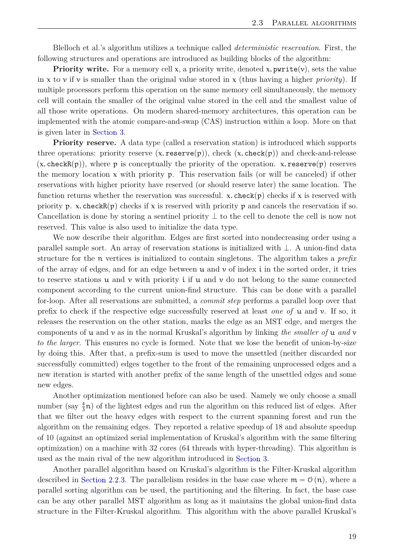Blelloch et al.'s algorithm utilizes a technique called *deterministic reservation*. First, the following structures and operations are introduced as building blocks of the algorithm:

**Priority write.** For a memory cell  $x$ , a priority write, denoted x.  $\text{pwrite}(v)$ , sets the value in x to v if v is smaller than the original value stored in x (thus having a higher *priority*). If multiple processors perform this operation on the same memory cell simultaneously, the memory cell will contain the smaller of the original value stored in the cell and the smallest value of all those write operations. On modern shared-memory architectures, this operation can be implemented with the atomic compare-and-swap (CAS) instruction within a loop. More on that is given later in [Section 3.](#page-27-0)

**Priority reserve.** A data type (called a reservation station) is introduced which supports three operations: priority reserve  $(x.\text{reserve}(p))$ , check  $(x.\text{check}(p))$  and check-and-release  $(x.\,\text{checkR}(p))$ , where p is conceptually the priority of the operation. x. reserve $(p)$  reserves the memory location  $x$  with priority  $p$ . This reservation fails (or will be canceled) if other reservations with higher priority have reserved (or should reserve later) the same location. The function returns whether the reservation was successful. x. check $(p)$  checks if x is reserved with priority p. x. check $R(p)$  checks if x is reserved with priority p and cancels the reservation if so. Cancellation is done by storing a sentinel priority  $\perp$  to the cell to denote the cell is now not reserved. This value is also used to initialize the data type.

We now describe their algorithm. Edges are first sorted into nondecreasing order using a parallel sample sort. An array of reservation stations is initialized with  $\perp$ . A union-find data structure for the n vertices is initialized to contain singletons. The algorithm takes a *prefix* of the array of edges, and for an edge between  $u$  and  $v$  of index i in the sorted order, it tries to reserve stations  $u$  and  $v$  with priority i if  $u$  and  $v$  do not belong to the same connected component according to the current union-find structure. This can be done with a parallel for-loop. After all reservations are submitted, a *commit step* performs a parallel loop over that prefix to check if the respective edge successfully reserved at least *one of* u and v. If so, it releases the reservation on the other station, marks the edge as an MST edge, and merges the components of u and v as in the normal Kruskal's algorithm by linking *the smaller of* u *and* v *to the larger*. This ensures no cycle is formed. Note that we lose the benefit of union-by-size by doing this. After that, a prefix-sum is used to move the unsettled (neither discarded nor successfully committed) edges together to the front of the remaining unprocessed edges and a new iteration is started with another prefix of the same length of the unsettled edges and some new edges.

Another optimization mentioned before can also be used. Namely we only choose a small number (say  $\frac{4}{3}n$ ) of the lightest edges and run the algorithm on this reduced list of edges. After that we filter out the heavy edges with respect to the current spanning forest and run the algorithm on the remaining edges. They reported a relative speedup of 18 and absolute speedup of 10 (against an optimized serial implementation of Kruskal's algorithm with the same filtering optimization) on a machine with 32 cores (64 threads with hyper-threading). This algorithm is used as the main rival of the new algorithm introduced in [Section 3.](#page-27-0)

Another parallel algorithm based on Kruskal's algorithm is the Filter-Kruskal algorithm described in [Section 2.2.3.](#page-16-0) The parallelism resides in the base case where  $m = \mathcal{O}(n)$ , where a parallel sorting algorithm can be used, the partitioning and the filtering. In fact, the base case can be any other parallel MST algorithm as long as it maintains the global union-find data structure in the Filter-Kruskal algorithm. This algorithm with the above parallel Kruskal's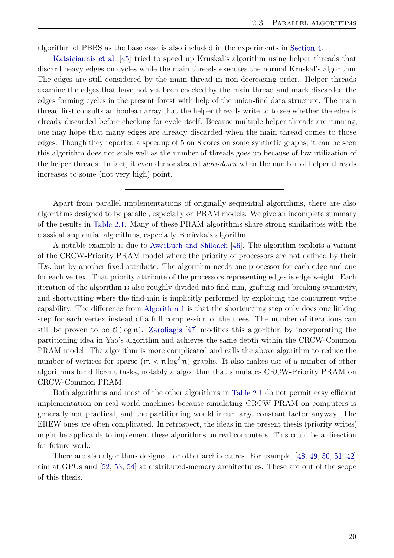<span id="page-25-0"></span>algorithm of PBBS as the base case is also included in the experiments in [Section 4.](#page-34-0)

[Katsigiannis et al.](#page-58-0) [\[45\]](#page-58-0) tried to speed up Kruskal's algorithm using helper threads that discard heavy edges on cycles while the main threads executes the normal Kruskal's algorithm. The edges are still considered by the main thread in non-decreasing order. Helper threads examine the edges that have not yet been checked by the main thread and mark discarded the edges forming cycles in the present forest with help of the union-find data structure. The main thread first consults an boolean array that the helper threads write to to see whether the edge is already discarded before checking for cycle itself. Because multiple helper threads are running, one may hope that many edges are already discarded when the main thread comes to those edges. Though they reported a speedup of 5 on 8 cores on some synthetic graphs, it can be seen this algorithm does not scale well as the number of threads goes up because of low utilization of the helper threads. In fact, it even demonstrated *slow-down* when the number of helper threads increases to some (not very high) point.

Apart from parallel implementations of originally sequential algorithms, there are also algorithms designed to be parallel, especially on PRAM models. We give an incomplete summary of the results in [Table 2.1.](#page-26-0) Many of these PRAM algorithms share strong similarities with the classical sequential algorithms, especially Borůvka's algorithm.

A notable example is due to [Awerbuch and Shiloach](#page-58-1) [\[46\]](#page-58-1). The algorithm exploits a variant of the CRCW-Priority PRAM model where the priority of processors are not defined by their IDs, but by another fixed attribute. The algorithm needs one processor for each edge and one for each vertex. That priority attribute of the processors representing edges is edge weight. Each iteration of the algorithm is also roughly divided into find-min, grafting and breaking symmetry, and shortcutting where the find-min is implicitly performed by exploiting the concurrent write capability. The difference from [Algorithm 1](#page-10-0) is that the shortcutting step only does one linking step for each vertex instead of a full compression of the trees. The number of iterations can still be proven to be  $\mathcal{O}(\log n)$ . [Zaroliagis](#page-58-2) [\[47\]](#page-58-2) modifies this algorithm by incorporating the partitioning idea in Yao's algorithm and achieves the same depth within the CRCW-Common PRAM model. The algorithm is more complicated and calls the above algorithm to reduce the number of vertices for sparse  $(m < n \log^2 n)$  graphs. It also makes use of a number of other algorithms for different tasks, notably a algorithm that simulates CRCW-Priority PRAM on CRCW-Common PRAM.

Both algorithms and most of the other algorithms in [Table 2.1](#page-26-0) do not permit easy efficient implementation on real-world machines because simulating CRCW PRAM on computers is generally not practical, and the partitioning would incur large constant factor anyway. The EREW ones are often complicated. In retrospect, the ideas in the present thesis (priority writes) might be applicable to implement these algorithms on real computers. This could be a direction for future work.

There are also algorithms designed for other architectures. For example, [\[48,](#page-58-3) [49,](#page-58-4) [50,](#page-58-5) [51,](#page-58-6) [42\]](#page-57-10) aim at GPUs and [\[52,](#page-58-7) [53,](#page-58-8) [54\]](#page-58-9) at distributed-memory architectures. These are out of the scope of this thesis.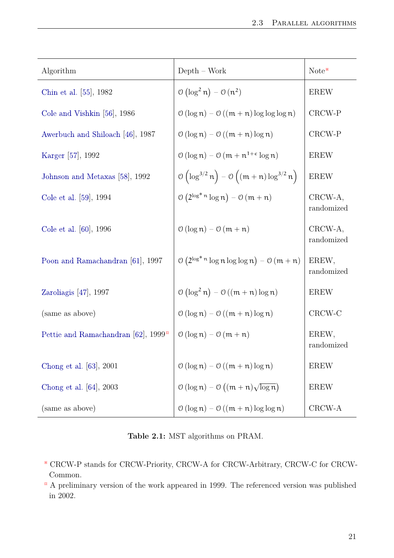<span id="page-26-1"></span><span id="page-26-0"></span>

| Algorithm                                     | $Depth - Work$                                                                            | Note*                 |
|-----------------------------------------------|-------------------------------------------------------------------------------------------|-----------------------|
| Chin et al. [55], 1982                        | $\mathcal{O}(\log^2 n) - \mathcal{O}(n^2)$                                                | <b>EREW</b>           |
| Cole and Vishkin $[56]$ , 1986                | $\mathcal{O}(\log n) - \mathcal{O}((m+n)\log\log\log n)$                                  | CRCW-P                |
| Awerbuch and Shiloach [46], 1987              | $\mathcal{O}(\log n) - \mathcal{O}((m+n)\log n)$                                          | CRCW-P                |
| Karger [57], 1992                             | $\mathcal{O}(\log n) - \mathcal{O}(m + n^{1+\epsilon} \log n)$                            | <b>EREW</b>           |
| Johnson and Metaxas [58], 1992                | $\mathcal{O}\left(\log^{3/2} n\right) - \mathcal{O}\left((m+n)\log^{3/2} n\right)$        | <b>EREW</b>           |
| Cole et al. [59], 1994                        | $\mathcal{O}\left(2^{\log^* n} \log n\right) - \mathcal{O}\left(m + n\right)$             | CRCW-A,<br>randomized |
| Cole et al. [60], 1996                        | $\mathcal{O}(\log n) - \mathcal{O}(m + n)$                                                | CRCW-A,<br>randomized |
| Poon and Ramachandran [61], 1997              | $\mathcal{O}\left(2^{\log^* n} \log n \log \log n\right) - \mathcal{O}\left(m + n\right)$ | EREW,<br>randomized   |
| Zaroliagis $[47]$ , 1997                      | $\mathcal{O}(\log^2 n) - \mathcal{O}((m+n)\log n)$                                        | <b>EREW</b>           |
| (same as above)                               | $\mathcal{O}(\log n) - \mathcal{O}((m+n)\log n)$                                          | CRCW-C                |
| Pettie and Ramachandran [62], $1999^{\alpha}$ | $\mathcal{O}(\log n) - \mathcal{O}(m + n)$                                                | EREW,<br>randomized   |
| Chong et al. [63], 2001                       | $\mathcal{O}(\log n) - \mathcal{O}((m+n)\log n)$                                          | <b>EREW</b>           |
| Chong et al. [64], 2003                       | $\mathcal{O}(\log n) - \mathcal{O}((m+n)\sqrt{\log n})$                                   | <b>EREW</b>           |
| (same as above)                               | $\mathcal{O}(\log n) - \mathcal{O}((m+n)\log\log n)$                                      | CRCW-A                |

**Table 2.1:** MST algorithms on PRAM.

- ※ CRCW-P stands for CRCW-Priority, CRCW-A for CRCW-Arbitrary, CRCW-C for CRCW-Common.
- $\alpha$  A preliminary version of the work appeared in 1999. The referenced version was published in 2002.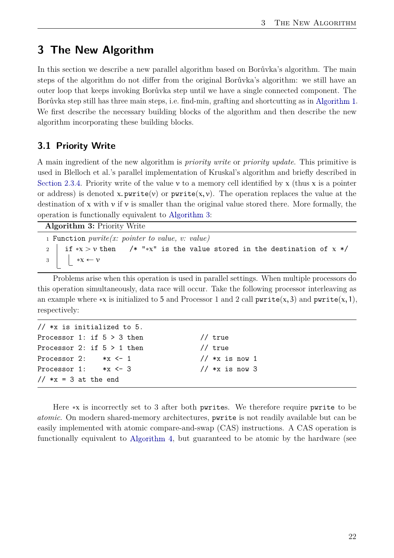# <span id="page-27-0"></span>**3 The New Algorithm**

In this section we describe a new parallel algorithm based on Borůvka's algorithm. The main steps of the algorithm do not differ from the original Borůvka's algorithm: we still have an outer loop that keeps invoking Borůvka step until we have a single connected component. The Borůvka step still has three main steps, i.e. find-min, grafting and shortcutting as in [Algorithm 1.](#page-10-0) We first describe the necessary building blocks of the algorithm and then describe the new algorithm incorporating these building blocks.

## <span id="page-27-1"></span>**3.1 Priority Write**

A main ingredient of the new algorithm is *priority write* or *priority update*. This primitive is used in Blelloch et al.'s parallel implementation of Kruskal's algorithm and briefly described in [Section 2.3.4.](#page-23-1) Priority write of the value v to a memory cell identified by x (thus x is a pointer or address) is denoted x. pwrite(v) or pwrite(x, v). The operation replaces the value at the destination of x with  $\nu$  if  $\nu$  is smaller than the original value stored there. More formally, the operation is functionally equivalent to [Algorithm 3:](#page-27-2)

**Algorithm 3:** Priority Write

<span id="page-27-2"></span><sup>1</sup> Function *pwrite(x: pointer to value, v: value)* 2 if  $\sqrt{x} > v$  then /\* "\* $x$ " is the value stored in the destination of x \*/ 3  $\vert \cdot \vert \cdot \cdot \infty \leftarrow v$ 

Problems arise when this operation is used in parallel settings. When multiple processors do this operation simultaneously, data race will occur. Take the following processor interleaving as an example where \*x is initialized to 5 and Processor 1 and 2 call  $\text{pwrite}(x, 3)$  and  $\text{pwrite}(x, 1)$ , respectively:

| // $*x$ is initialized to 5.   |                  |
|--------------------------------|------------------|
| Processor 1: if $5 > 3$ then   | $//$ true        |
| Processor 2: if $5 > 1$ then   | $//$ true        |
| Processor 2: $*x \leftarrow 1$ | // $*x$ is now 1 |
| $*x \le -3$<br>Processor 1:    | // $*x$ is now 3 |
| // $*x = 3$ at the end         |                  |

Here  $\ast x$  is incorrectly set to 3 after both pwrites. We therefore require pwrite to be *atomic*. On modern shared-memory architectures, pwrite is not readily available but can be easily implemented with atomic compare-and-swap (CAS) instructions. A CAS operation is functionally equivalent to [Algorithm 4,](#page-28-0) but guaranteed to be atomic by the hardware (see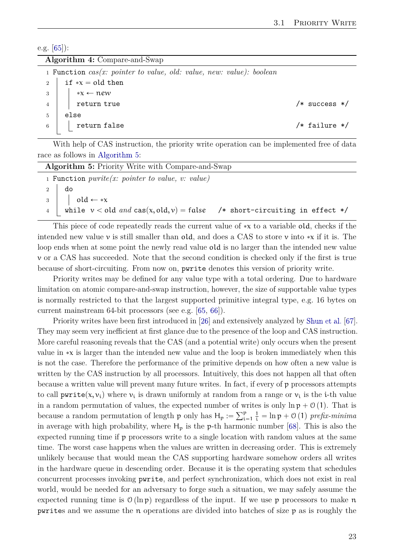<span id="page-28-2"></span>e.g. [\[65\]](#page-59-7)):

|  |  | Algorithm 4: Compare-and-Swap |
|--|--|-------------------------------|
|--|--|-------------------------------|

<span id="page-28-0"></span>

|                 | 1 Function $cas(x: pointer to value, old: value, new: value): boolean$                                   |                   |
|-----------------|----------------------------------------------------------------------------------------------------------|-------------------|
|                 | 2   if $\ast x =$ old then                                                                               |                   |
|                 | $\begin{array}{c c} 3 & \ast \mathbf{x} \leftarrow \mathbf{new} \\ 4 & \ast \mathbf{return} \end{array}$ |                   |
|                 |                                                                                                          | $/*$ success $*/$ |
| $5\overline{)}$ | else                                                                                                     |                   |
|                 | $\begin{array}{c c} 6 & \end{array}$ return false                                                        | $/*$ failure $*/$ |
|                 |                                                                                                          |                   |

With help of CAS instruction, the priority write operation can be implemented free of data race as follows in [Algorithm 5:](#page-28-1)

<span id="page-28-1"></span>

| <b>Algorithm 5: Priority Write with Compare-and-Swap</b> |                                                                                             |  |  |
|----------------------------------------------------------|---------------------------------------------------------------------------------------------|--|--|
|                                                          | 1 Function $pwrite(x: pointer to value, v: value)$                                          |  |  |
|                                                          |                                                                                             |  |  |
|                                                          | $\begin{array}{c c} 2 & \text{do} \\ 3 & \text{old} \leftarrow \ast \mathbf{x} \end{array}$ |  |  |
|                                                          | 4 while $v <$ old and cas(x, old, v) = false /* short-circuiting in effect */               |  |  |
|                                                          |                                                                                             |  |  |

This piece of code repeatedly reads the current value of  $\ast x$  to a variable old, checks if the intended new value v is still smaller than old, and does a CAS to store v into  $\star x$  if it is. The loop ends when at some point the newly read value old is no larger than the intended new value v or a CAS has succeeded. Note that the second condition is checked only if the first is true because of short-circuiting. From now on, pwrite denotes this version of priority write.

Priority writes may be defined for any value type with a total ordering. Due to hardware limitation on atomic compare-and-swap instruction, however, the size of supportable value types is normally restricted to that the largest supported primitive integral type, e.g. 16 bytes on current mainstream 64-bit processors (see e.g. [\[65,](#page-59-7) [66\]](#page-59-8)).

Priority writes have been first introduced in [\[26\]](#page-56-10) and extensively analyzed by [Shun et al.](#page-59-9) [\[67\]](#page-59-9). They may seem very inefficient at first glance due to the presence of the loop and CAS instruction. More careful reasoning reveals that the CAS (and a potential write) only occurs when the present value in  $\ast x$  is larger than the intended new value and the loop is broken immediately when this is not the case. Therefore the performance of the primitive depends on how often a new value is written by the CAS instruction by all processors. Intuitively, this does not happen all that often because a written value will prevent many future writes. In fact, if every of p processors attempts to call  $\text{pwrite}(x, v_i)$  where  $v_i$  is drawn uniformly at random from a range or  $v_i$  is the *i*-th value in a random permutation of values, the expected number of writes is only  $\ln p + O(1)$ . That is because a random permutation of length p only has  $H_p := \sum_{i=1}^p \frac{1}{i} = \ln p + O(1)$  prefix-minima in average with high probability, where  $H_p$  is the p-th harmonic number [\[68\]](#page-59-10). This is also the expected running time if p processors write to a single location with random values at the same time. The worst case happens when the values are written in decreasing order. This is extremely unlikely because that would mean the CAS supporting hardware somehow orders all writes in the hardware queue in descending order. Because it is the operating system that schedules concurrent processes invoking pwrite, and perfect synchronization, which does not exist in real world, would be needed for an adversary to forge such a situation, we may safely assume the expected running time is  $O(\ln p)$  regardless of the input. If we use p processors to make n pwrites and we assume the n operations are divided into batches of size p as is roughly the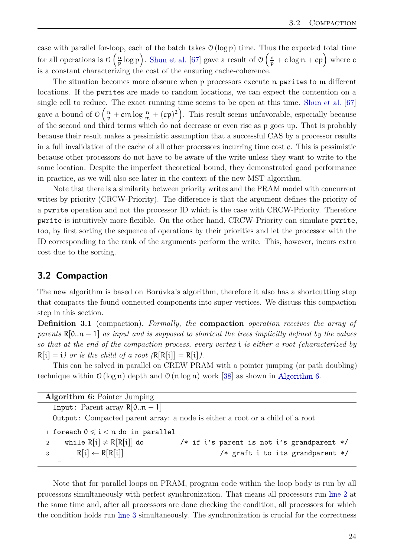<span id="page-29-4"></span>case with parallel for-loop, each of the batch takes  $\mathcal{O}(\log p)$  time. Thus the expected total time for all operations is  $\mathcal{O}\left(\frac{n}{n}\right)$  $\frac{n}{p} \log p$ . [Shun et al.](#page-59-9) [\[67\]](#page-59-9) gave a result of  $\mathcal{O}\left(\frac{n}{p}\right)$ us the expected total time<br>  $\frac{n}{p} + c \log n + cp$  where c is a constant characterizing the cost of the ensuring cache-coherence.

The situation becomes more obscure when p processors execute n pwrites to m different locations. If the pwrites are made to random locations, we can expect the contention on a single cell to reduce. The exact running time seems to be open at this time. [Shun et al.](#page-59-9) [\[67\]](#page-59-9) gave a bound of  $\mathcal{O}\left(\frac{n}{p} + \mathsf{cm} \log \frac{n}{m} + (\mathsf{cp})^2\right)$ . This result seems unfavorable, especially because of the second and third terms which do not decrease or even rise as p goes up. That is probably because their result makes a pessimistic assumption that a successful CAS by a processor results in a full invalidation of the cache of all other processors incurring time cost c. This is pessimistic because other processors do not have to be aware of the write unless they want to write to the same location. Despite the imperfect theoretical bound, they demonstrated good performance in practice, as we will also see later in the context of the new MST algorithm.

Note that there is a similarity between priority writes and the PRAM model with concurrent writes by priority (CRCW-Priority). The difference is that the argument defines the priority of a pwrite operation and not the processor ID which is the case with CRCW-Priority. Therefore pwrite is intuitively more flexible. On the other hand, CRCW-Priority can simulate pwrite, too, by first sorting the sequence of operations by their priorities and let the processor with the ID corresponding to the rank of the arguments perform the write. This, however, incurs extra cost due to the sorting.

## <span id="page-29-0"></span>**3.2 Compaction**

The new algorithm is based on Borůvka's algorithm, therefore it also has a shortcutting step that compacts the found connected components into super-vertices. We discuss this compaction step in this section.

**Definition 3.1** (compaction)**.** *Formally, the* **compaction** *operation receives the array of parents*  $R[0..n - 1]$  *as input and is supposed to shortcut the trees implicitly defined by the values so that at the end of the compaction process, every vertex* i *is either a root (characterized by*  $R[i] = i$  or is the child of a root  $(R[R[i]] = R[i])$ .

This can be solved in parallel on CREW PRAM with a pointer jumping (or path doubling) technique within  $\mathcal{O}(\log n)$  depth and  $\mathcal{O}(n \log n)$  work [\[38\]](#page-57-6) as shown in [Algorithm 6.](#page-29-1)

<span id="page-29-2"></span><span id="page-29-1"></span>

| <b>Algorithm 6:</b> Pointer Jumping            |                                                                                     |
|------------------------------------------------|-------------------------------------------------------------------------------------|
| Input: Parent array $R[0n-1]$                  |                                                                                     |
|                                                | <b>Output:</b> Compacted parent array: a node is either a root or a child of a root |
| 1 foreach $0 \le i < n$ do in parallel         |                                                                                     |
| while $R[i] \neq R[R[i]]$ do<br>$\mathfrak{D}$ | /* if i's parent is not i's grandparent */                                          |
| $R[i] \leftarrow R[R[i]]$<br>$3 \mid$          | /* graft i to its grandparent $*/$                                                  |

<span id="page-29-3"></span>Note that for parallel loops on PRAM, program code within the loop body is run by all processors simultaneously with perfect synchronization. That means all processors run [line 2](#page-29-2) at the same time and, after all processors are done checking the condition, all processors for which the condition holds run [line 3](#page-29-3) simultaneously. The synchronization is crucial for the correctness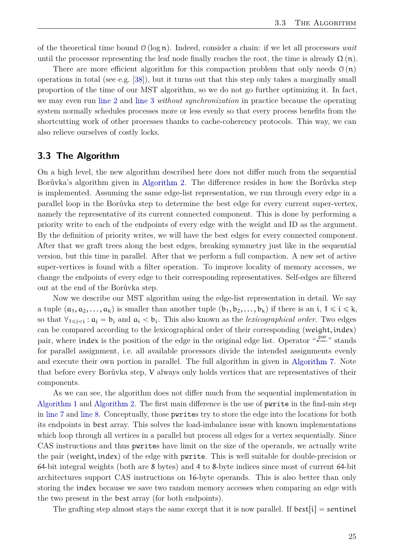<span id="page-30-1"></span>of the theoretical time bound  $\mathcal{O}(\log n)$ . Indeed, consider a chain: if we let all processors *wait* until the processor representing the leaf node finally reaches the root, the time is already  $\Omega(n)$ .

There are more efficient algorithm for this compaction problem that only needs  $\mathcal{O}(n)$ operations in total (see e.g. [\[38\]](#page-57-6)), but it turns out that this step only takes a marginally small proportion of the time of our MST algorithm, so we do not go further optimizing it. In fact, we may even run [line 2](#page-29-2) and [line 3](#page-29-3) *without synchronization* in practice because the operating system normally schedules processes more or less evenly so that every process benefits from the shortcutting work of other processes thanks to cache-coherency protocols. This way, we can also relieve ourselves of costly locks.

## <span id="page-30-0"></span>**3.3 The Algorithm**

On a high level, the new algorithm described here does not differ much from the sequential Borůvka's algorithm given in [Algorithm 2.](#page-11-1) The difference resides in how the Borůvka step is implemented. Assuming the same edge-list representation, we run through every edge in a parallel loop in the Borůvka step to determine the best edge for every current super-vertex, namely the representative of its current connected component. This is done by performing a priority write to each of the endpoints of every edge with the weight and ID as the argument. By the definition of priority writes, we will have the best edges for every connected component. After that we graft trees along the best edges, breaking symmetry just like in the sequential version, but this time in parallel. After that we perform a full compaction. A new set of active super-vertices is found with a filter operation. To improve locality of memory accesses, we change the endpoints of every edge to their corresponding representatives. Self-edges are filtered out at the end of the Borůvka step.

Now we describe our MST algorithm using the edge-list representation in detail. We say a tuple  $(a_1, a_2, \ldots, a_k)$  is smaller than another tuple  $(b_1, b_2, \ldots, b_k)$  if there is an i,  $1 \leq i \leq k$ , so that  $\forall_{1\leq i\leq i} : a_i = b_i$  and  $a_i < b_i$ . This also known as the *lexicographical order*. Two edges can be compared according to the lexicographical order of their corresponding (weight, index) pair, where index is the position of the edge in the original edge list. Operator "  $p^{\text{ar}}$ " stands for parallel assignment, i.e. all available processors divide the intended assignments evenly and execute their own portion in parallel. The full algorithm in given in [Algorithm 7.](#page-31-0) Note that before every Borůvka step, V always only holds vertices that are representatives of their components.

As we can see, the algorithm does not differ much from the sequential implementation in [Algorithm 1](#page-10-0) and [Algorithm 2.](#page-11-1) The first main difference is the use of pwrite in the find-min step in [line 7](#page-31-1) and [line 8.](#page-31-2) Conceptually, those pwrites try to store the edge into the locations for both its endpoints in best array. This solves the load-imbalance issue with known implementations which loop through all vertices in a parallel but process all edges for a vertex sequentially. Since CAS instructions and thus pwrites have limit on the size of the operands, we actually write the pair (weight, index) of the edge with pwrite. This is well suitable for double-precision or 64-bit integral weights (both are 8 bytes) and 4 to 8-byte indices since most of current 64-bit architectures support CAS instructions on 16-byte operands. This is also better than only storing the index because we save two random memory accesses when comparing an edge with the two present in the best array (for both endpoints).

The grafting step almost stays the same except that it is now parallel. If  $best[i] = sentinel$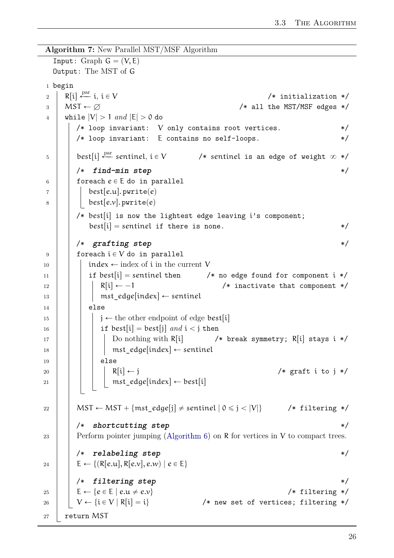```
Algorithm 7: New Parallel MST/MSF Algorithm
  Input: Graph G = (V, E)Output: The MST of G
1 begin
2 | R[i] \stackrel{\text{par}}{\longleftarrow} i, i \in V/* initialization */
3 \mid \text{MST} \leftarrow \varnothing /* all the MST/MSF edges */
4 while |V| > 1 and |E| > 0 do
       /* loop invariant: V only contains root vertices. * //* loop invariant: E contains no self-loops. */\mathfrak{g} | best[i] \stackrel{\text{par}}{\longleftarrow} sentinel, i \in V/* sentinel is an edge of weight \infty */
       /* find-min step */
\begin{array}{c|c} 6 & \end{array} foreach e \in E do in parallel
7 | | best[e.u]. pwrite(e)
8 | | best[e.v]. pwrite(e)
       /* best[i] is now the lightest edge leaving i's component;
          best[i] = sentinel if there is none. *//* grafting step */
9 foreach i \in V do in parallel
10 | | index \leftarrow index of i in the current V
11 | | if best[i] = sentinel then \prime* no edge found for component i */
12 | | | R[i] \leftarrow -1 /* inactivate that component */
13 | | | mst edge [index] \leftarrow sentinel
14 | else
15 \mid \cdot \cdot \cdot \cdot \cdot is \leftarrow the other endpoint of edge best[i]
16 | | | if best[i] = best[j] and i < j then
17 | | | Do nothing with R[i] /* break symmetry; R[i] stays i */
18 | | | | mst edge[index] \leftarrow sentinel
19 \vert \vert \vert \vert else
20 | | | | R[i] \leftarrow j /* graft i to j */
21 | | | mst_edge[index] \leftarrow best[i]
22 | | MST \leftarrow MST + {mst_edge[j] \neq sentinel | 0 \leq j < |V|} /* filtering */
       /* shortcutting step */
(Algorithm 6) on R for vertices in V to compact trees.
       /* relabeling step */
24 | E \leftarrow \{ (R[e.u], R[e.v], e.w) | e \in E \}/* filtering step */
25 E Ð te P E | e.u ‰ e.vu /* filtering */
26 \vert \quad \vert \quad V \leftarrow \{i \in V \mid R[i] = i\} /* new set of vertices; filtering */
27 return MST
```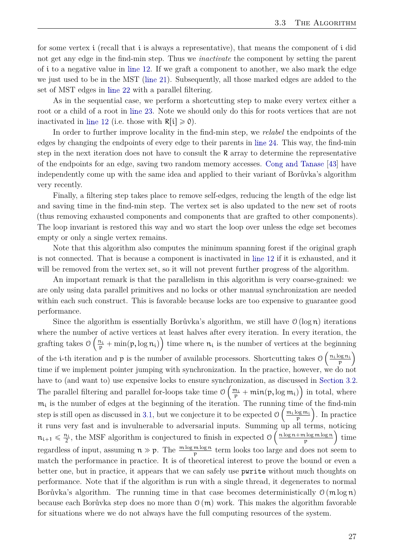<span id="page-32-0"></span>for some vertex i (recall that i is always a representative), that means the component of i did not get any edge in the find-min step. Thus we *inactivate* the component by setting the parent of i to a negative value in [line 12.](#page-31-3) If we graft a component to another, we also mark the edge we just used to be in the MST [\(line 21\)](#page-31-4). Subsequently, all those marked edges are added to the set of MST edges in [line 22](#page-31-5) with a parallel filtering.

As in the sequential case, we perform a shortcutting step to make every vertex either a root or a child of a root in [line 23.](#page-31-6) Note we should only do this for roots vertices that are not inactivated in [line 12](#page-31-3) (i.e. those with  $R[i] \ge 0$ ).

In order to further improve locality in the find-min step, we *relabel* the endpoints of the edges by changing the endpoints of every edge to their parents in [line 24.](#page-31-7) This way, the find-min step in the next iteration does not have to consult the R array to determine the representative of the endpoints for an edge, saving two random memory accesses. [Cong and Tanase](#page-57-11) [\[43\]](#page-57-11) have independently come up with the same idea and applied to their variant of Borůvka's algorithm very recently.

Finally, a filtering step takes place to remove self-edges, reducing the length of the edge list and saving time in the find-min step. The vertex set is also updated to the new set of roots (thus removing exhausted components and components that are grafted to other components). The loop invariant is restored this way and wo start the loop over unless the edge set becomes empty or only a single vertex remains.

Note that this algorithm also computes the minimum spanning forest if the original graph is not connected. That is because a component is inactivated in [line 12](#page-31-3) if it is exhausted, and it will be removed from the vertex set, so it will not prevent further progress of the algorithm.

An important remark is that the parallelism in this algorithm is very coarse-grained: we are only using data parallel primitives and no locks or other manual synchronization are needed within each such construct. This is favorable because locks are too expensive to guarantee good performance.

Since the algorithm is essentially Borůvka's algorithm, we still have  $\mathcal{O}(\log n)$  iterations where the number of active vertices at least halves after every iteration. In every iteration, the grafting takes  $\mathcal{O}\left(\frac{n_i}{p} + \min(p, \log n_i)\right)$  time where  $n_i$  is the number of vertices at the beginning of the *i*-th iteration and p is the number of available processors. Shortcutting takes  $\mathcal{O}\left(\frac{n_1 \log n_1}{n}\right)$ p time if we implement pointer jumping with synchronization. In the practice, however, we do not have to (and want to) use expensive locks to ensure synchronization, as discussed in [Section 3.2.](#page-29-0) The parallel filtering and parallel for-loops take time  $\mathcal{O}\left(\frac{m_i}{p} + \min(p, \log m_i)\right)$  in total, where  $m_i$  is the number of edges at the beginning of the iteration. The running time of the find-min step is still open as discussed in [3.1,](#page-27-1) but we conjecture it to be expected  $\mathcal{O}\left(\frac{m_i \log m_i}{n}\right)$  $\frac{\log m_i}{p}$ . In practice it runs very fast and is invulnerable to adversarial inputs. Summing up all terms, noticing  $n_{i+1} \leqslant \frac{n_i}{2}$ , the MSF algorithm is conjectured to finish in expected  $\theta$   $\left(\frac{n \log n + m \log m \log n}{p}\right)$  $\frac{\log m \log n}{p}$  time regardless of input, assuming  $n \gg p$ . The  $\frac{m \log m \log n}{p}$  term looks too large and does not seem to match the performance in practice. It is of theoretical interest to prove the bound or even a better one, but in practice, it appears that we can safely use pwrite without much thoughts on performance. Note that if the algorithm is run with a single thread, it degenerates to normal Borůvka's algorithm. The running time in that case becomes deterministically  $O(m \log n)$ because each Borůvka step does no more than  $\mathcal{O}(m)$  work. This makes the algorithm favorable for situations where we do not always have the full computing resources of the system.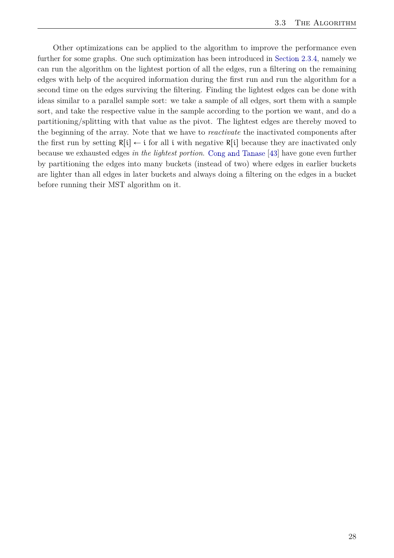<span id="page-33-0"></span>Other optimizations can be applied to the algorithm to improve the performance even further for some graphs. One such optimization has been introduced in [Section 2.3.4,](#page-23-1) namely we can run the algorithm on the lightest portion of all the edges, run a filtering on the remaining edges with help of the acquired information during the first run and run the algorithm for a second time on the edges surviving the filtering. Finding the lightest edges can be done with ideas similar to a parallel sample sort: we take a sample of all edges, sort them with a sample sort, and take the respective value in the sample according to the portion we want, and do a partitioning/splitting with that value as the pivot. The lightest edges are thereby moved to the beginning of the array. Note that we have to *reactivate* the inactivated components after the first run by setting  $R[i] \leftarrow i$  for all i with negative  $R[i]$  because they are inactivated only because we exhausted edges *in the lightest portion*. [Cong and Tanase](#page-57-11) [\[43\]](#page-57-11) have gone even further by partitioning the edges into many buckets (instead of two) where edges in earlier buckets are lighter than all edges in later buckets and always doing a filtering on the edges in a bucket before running their MST algorithm on it.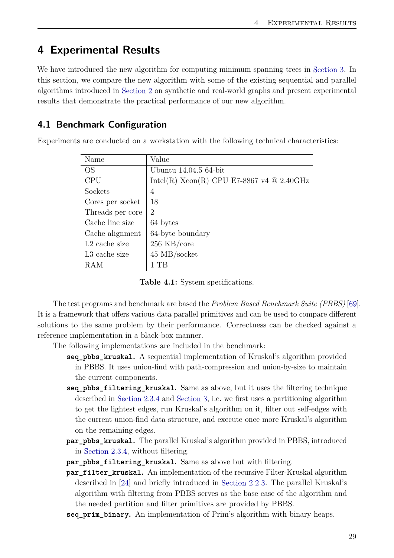# <span id="page-34-3"></span><span id="page-34-0"></span>**4 Experimental Results**

We have introduced the new algorithm for computing minimum spanning trees in [Section 3.](#page-27-0) In this section, we compare the new algorithm with some of the existing sequential and parallel algorithms introduced in [Section 2](#page-8-0) on synthetic and real-world graphs and present experimental results that demonstrate the practical performance of our new algorithm.

## <span id="page-34-1"></span>**4.1 Benchmark Configuration**

<span id="page-34-2"></span>Experiments are conducted on a workstation with the following technical characteristics:

| Name             | Value                                       |
|------------------|---------------------------------------------|
| OS.              | Ubuntu 14.04.5 64-bit                       |
| <b>CPU</b>       | Intel(R) Xeon(R) CPU E7-8867 v4 $@$ 2.40GHz |
| Sockets          | 4                                           |
| Cores per socket | 18                                          |
| Threads per core | $\overline{2}$                              |
| Cache line size  | 64 bytes                                    |
| Cache alignment  | 64-byte boundary                            |
| $L2$ cache size  | $256$ KB/core                               |
| L3 cache size    | $45$ MB/socket                              |
| RAM              | - TB                                        |

**Table 4.1:** System specifications.

The test programs and benchmark are based the *Problem Based Benchmark Suite (PBBS)* [\[69\]](#page-59-11). It is a framework that offers various data parallel primitives and can be used to compare different solutions to the same problem by their performance. Correctness can be checked against a reference implementation in a black-box manner.

The following implementations are included in the benchmark:

- **seq\_pbbs\_kruskal.** A sequential implementation of Kruskal's algorithm provided in PBBS. It uses union-find with path-compression and union-by-size to maintain the current components.
- **seq\_pbbs\_filtering\_kruskal.** Same as above, but it uses the filtering technique described in [Section 2.3.4](#page-23-1) and [Section 3,](#page-27-0) i.e. we first uses a partitioning algorithm to get the lightest edges, run Kruskal's algorithm on it, filter out self-edges with the current union-find data structure, and execute once more Kruskal's algorithm on the remaining edges.
- **par\_pbbs\_kruskal.** The parallel Kruskal's algorithm provided in PBBS, introduced in [Section 2.3.4,](#page-23-1) without filtering.
- **par pbbs filtering kruskal.** Same as above but with filtering.
- **par\_filter\_kruskal.** An implementation of the recursive Filter-Kruskal algorithm described in [\[24\]](#page-56-8) and briefly introduced in [Section 2.2.3.](#page-16-0) The parallel Kruskal's algorithm with filtering from PBBS serves as the base case of the algorithm and the needed partition and filter primitives are provided by PBBS.
- **seq prim binary.** An implementation of Prim's algorithm with binary heaps.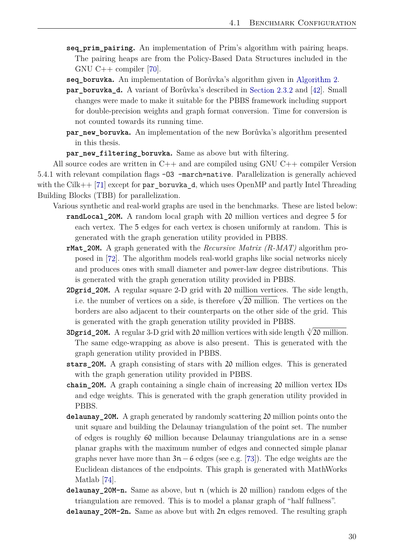- <span id="page-35-0"></span>**seq prim pairing.** An implementation of Prim's algorithm with pairing heaps. The pairing heaps are from the Policy-Based Data Structures included in the GNU C $++$  compiler [\[70\]](#page-59-12).
- **seq\_boruvka.** An implementation of Borůvka's algorithm given in [Algorithm 2.](#page-11-1)
- **par\_boruvka\_d.** A variant of Borůvka's described in [Section 2.3.2](#page-22-0) and [\[42\]](#page-57-10). Small changes were made to make it suitable for the PBBS framework including support for double-precision weights and graph format conversion. Time for conversion is not counted towards its running time.
- **par\_new\_boruvka.** An implementation of the new Borůvka's algorithm presented in this thesis.
- **par\_new\_filtering\_boruvka.** Same as above but with filtering.

All source codes are written in C++ and are compiled using GNU C++ compiler Version 5.4.1 with relevant compilation flags -O3 -march=native. Parallelization is generally achieved with the Cilk++ [\[71\]](#page-59-13) except for par boruvka d, which uses OpenMP and partly Intel Threading Building Blocks (TBB) for parallelization.

Various synthetic and real-world graphs are used in the benchmarks. These are listed below:

- **randLocal\_20M.** A random local graph with 20 million vertices and degree 5 for each vertex. The 5 edges for each vertex is chosen uniformly at random. This is generated with the graph generation utility provided in PBBS.
- **rMat\_20M.** A graph generated with the *Recursive Matrix (R-MAT)* algorithm proposed in [\[72\]](#page-60-0). The algorithm models real-world graphs like social networks nicely and produces ones with small diameter and power-law degree distributions. This is generated with the graph generation utility provided in PBBS.
- **2Dgrid\_20M.** A regular square 2-D grid with 20 million vertices. The side length, i.e. the number of vertices on a side, is therefore  $\sqrt{20}$  million. The vertices on the borders are also adjacent to their counterparts on the other side of the grid. This is generated with the graph generation utility provided in PBBS.
- **3Dgrid\_20M.** A regular 3-D grid with 20 million vertices with side length  $\sqrt[3]{20}$  million. The same edge-wrapping as above is also present. This is generated with the graph generation utility provided in PBBS.
- **stars\_20M.** A graph consisting of stars with 20 million edges. This is generated with the graph generation utility provided in PBBS.
- **chain\_20M.** A graph containing a single chain of increasing 20 million vertex IDs and edge weights. This is generated with the graph generation utility provided in PBBS.
- **delaunay\_20M.** A graph generated by randomly scattering 20 million points onto the unit square and building the Delaunay triangulation of the point set. The number of edges is roughly 60 million because Delaunay triangulations are in a sense planar graphs with the maximum number of edges and connected simple planar graphs never have more than  $3n-6$  edges (see e.g. [\[73\]](#page-60-1)). The edge weights are the Euclidean distances of the endpoints. This graph is generated with MathWorks Matlab [\[74\]](#page-60-2).
- **delaunay** 20M-n. Same as above, but n (which is 20 million) random edges of the triangulation are removed. This is to model a planar graph of "half fullness".
- **delaunay\_20M-2n.** Same as above but with 2n edges removed. The resulting graph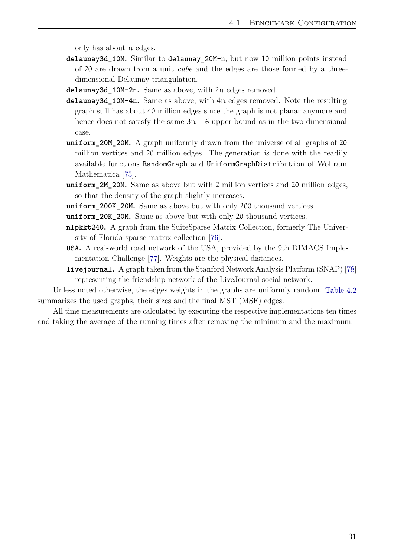<span id="page-36-0"></span>only has about n edges.

- **delaunay3d\_10M.** Similar to delaunay\_20M-n, but now 10 million points instead of 20 are drawn from a unit *cube* and the edges are those formed by a threedimensional Delaunay triangulation.
- **delaunay3d\_10M-2n.** Same as above, with 2n edges removed.
- **delaunay3d\_10M-4n.** Same as above, with 4n edges removed. Note the resulting graph still has about 40 million edges since the graph is not planar anymore and hence does not satisfy the same  $3n - 6$  upper bound as in the two-dimensional case.
- **uniform\_20M\_20M.** A graph uniformly drawn from the universe of all graphs of 20 million vertices and 20 million edges. The generation is done with the readily available functions RandomGraph and UniformGraphDistribution of Wolfram Mathematica [\[75\]](#page-60-3).
- **uniform\_2M\_20M.** Same as above but with 2 million vertices and 20 million edges, so that the density of the graph slightly increases.
- **uniform\_200K\_20M.** Same as above but with only 200 thousand vertices.
- **uniform\_20K\_20M.** Same as above but with only 20 thousand vertices.
- **nlpkkt240.** A graph from the SuiteSparse Matrix Collection, formerly The University of Florida sparse matrix collection [\[76\]](#page-60-4).
- **USA.** A real-world road network of the USA, provided by the 9th DIMACS Implementation Challenge [\[77\]](#page-60-5). Weights are the physical distances.
- **livejournal.** A graph taken from the Stanford Network Analysis Platform (SNAP) [\[78\]](#page-60-6) representing the friendship network of the LiveJournal social network.

Unless noted otherwise, the edges weights in the graphs are uniformly random. [Table 4.2](#page-37-0) summarizes the used graphs, their sizes and the final MST (MSF) edges.

All time measurements are calculated by executing the respective implementations ten times and taking the average of the running times after removing the minimum and the maximum.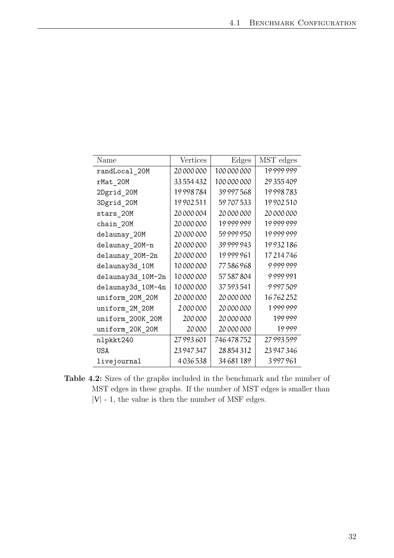<span id="page-37-0"></span>

| Name              | Vertices   | Edges          | MST edges  |
|-------------------|------------|----------------|------------|
| randLocal 20M     | 20 000 000 | 100 000 000    | 19999999   |
| rMat_20M          | 33 554 432 | 100000000      | 29 355 409 |
| 2Dgrid_20M        | 19998784   | 39 997 568     | 19998783   |
| 3Dgrid_20M        | 19902511   | 59707533       | 19902510   |
| stars_20M         | 20 000 004 | 20 000 000     | 20 000 000 |
| chain_20M         | 20 000 000 | 19999999       | 19999999   |
| delaunay_20M      | 20 000 000 | 59999950       | 19999999   |
| delaunay_20M-n    | 20 000 000 | 39 999 943     | 19932186   |
| delaunay_20M-2n   | 20 000 000 | 19999961       | 17214746   |
| delaunay3d_10M    | 10 000 000 | 77586968       | 9999999    |
| delaunay3d_10M-2n | 10000000   | 57587804       | 9999991    |
| delaunay3d 10M-4n | 10000000   | 37593541       | 9997509    |
| uniform_20M_20M   | 20 000 000 | 20 000 000     | 16762252   |
| uniform_2M_20M    | 2000000    | 20 000 000     | 1999999    |
| uniform_200K_20M  | 200000     | 20 000 000     | 199999     |
| uniform_20K_20M   | 20000      | 20 000 000     | 19999      |
| nlpkkt240         | 27 993 601 | 746478752      | 27 993 599 |
| <b>USA</b>        | 23 947 347 | 28 8 5 4 3 1 2 | 23 947 346 |
| livejournal       | 4036538    | 34 681 189     | 3997961    |

**Table 4.2:** Sizes of the graphs included in the benchmark and the number of MST edges in these graphs. If the number of MST edges is smaller than  $|V|$  - 1, the value is then the number of MSF edges.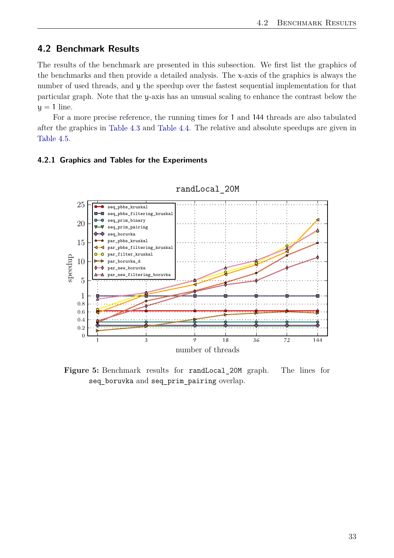## <span id="page-38-0"></span>**4.2 Benchmark Results**

The results of the benchmark are presented in this subsection. We first list the graphics of the benchmarks and then provide a detailed analysis. The x-axis of the graphics is always the number of used threads, and y the speedup over the fastest sequential implementation for that particular graph. Note that the y-axis has an unusual scaling to enhance the contrast below the  $y = 1$  line.

For a more precise reference, the running times for 1 and 144 threads are also tabulated after the graphics in [Table 4.3](#page-48-0) and [Table 4.4.](#page-49-0) The relative and absolute speedups are given in [Table 4.5.](#page-50-0)

#### <span id="page-38-2"></span><span id="page-38-1"></span>**4.2.1 Graphics and Tables for the Experiments**



randLocal\_20M

Figure 5: Benchmark results for randLocal 20M graph. The lines for seq boruvka and seq prim pairing overlap.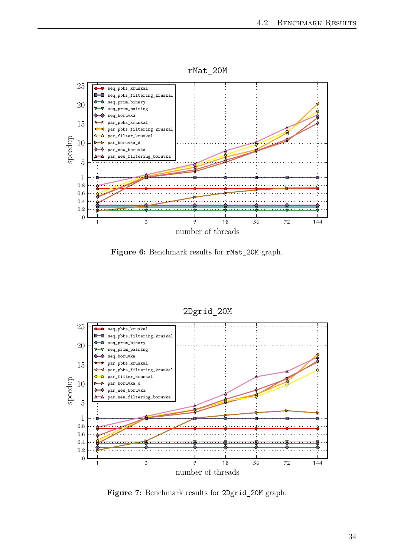

<span id="page-39-0"></span>

Figure 6: Benchmark results for rMat\_20M graph.

<span id="page-39-1"></span>

2Dgrid\_20M

**Figure 7:** Benchmark results for 2Dgrid\_20M graph.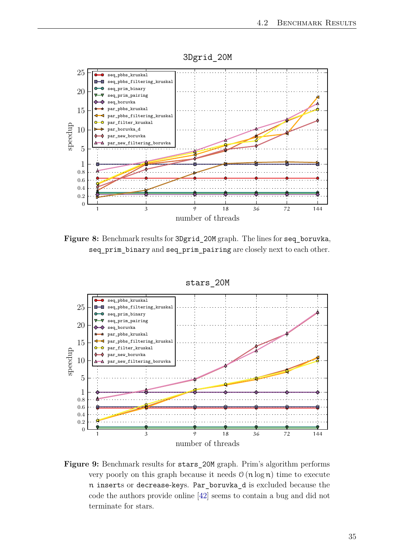

<span id="page-40-2"></span><span id="page-40-0"></span>

Figure 8: Benchmark results for 3Dgrid 20M graph. The lines for seq boruvka, seq\_prim\_binary and seq\_prim\_pairing are closely next to each other.

<span id="page-40-1"></span>

Figure 9: Benchmark results for stars 20M graph. Prim's algorithm performs very poorly on this graph because it needs  $\mathcal{O}(n \log n)$  time to execute n inserts or decrease-keys. Par\_boruvka\_d is excluded because the code the authors provide online [\[42\]](#page-57-10) seems to contain a bug and did not terminate for stars.

stars\_20M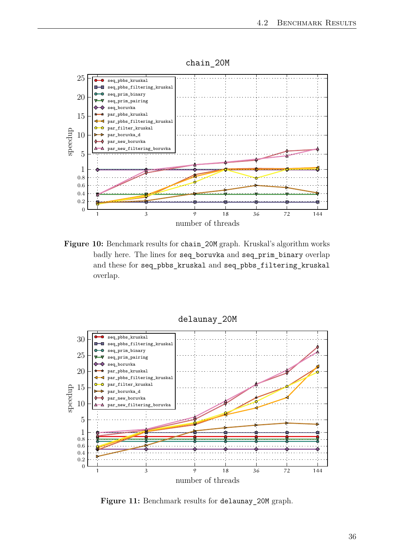<span id="page-41-0"></span>

Figure 10: Benchmark results for chain 20M graph. Kruskal's algorithm works badly here. The lines for seq\_boruvka and seq\_prim\_binary overlap and these for seq\_pbbs\_kruskal and seq\_pbbs\_filtering\_kruskal overlap.

<span id="page-41-1"></span>

delaunay\_20M

Figure 11: Benchmark results for delaunay\_20M graph.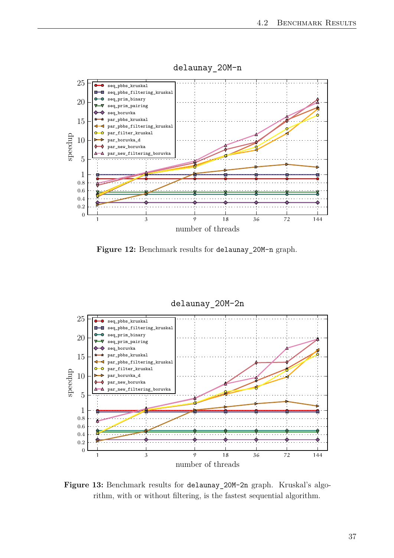<span id="page-42-0"></span>

delaunay\_20M-n

**Figure 12:** Benchmark results for delaunay\_20M-n graph.

<span id="page-42-1"></span>

Figure 13: Benchmark results for delaunay 20M-2n graph. Kruskal's algorithm, with or without filtering, is the fastest sequential algorithm.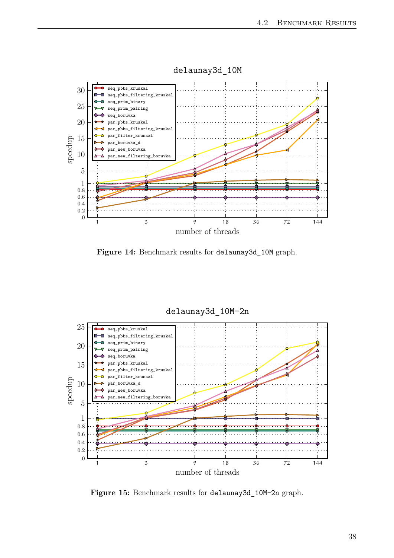<span id="page-43-0"></span>

delaunay3d\_10M

Figure 14: Benchmark results for delaunay3d 10M graph.

<span id="page-43-1"></span>

delaunay3d\_10M-2n

**Figure 15:** Benchmark results for delaunay3d\_10M-2n graph.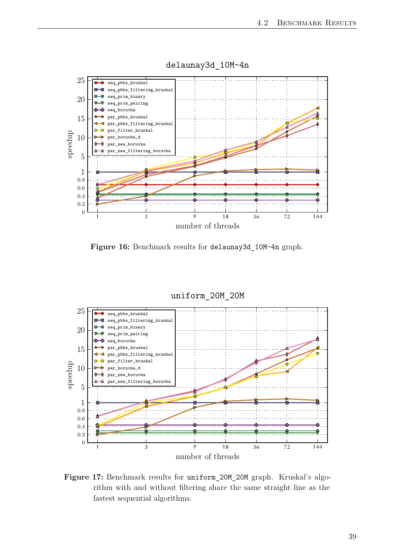<span id="page-44-0"></span>

delaunay3d\_10M-4n

**Figure 16:** Benchmark results for delaunay3d\_10M-4n graph.

<span id="page-44-1"></span>

Figure 17: Benchmark results for uniform 20M 20M graph. Kruskal's algorithm with and without filtering share the same straight line as the fastest sequential algorithms.

### uniform\_20M\_20M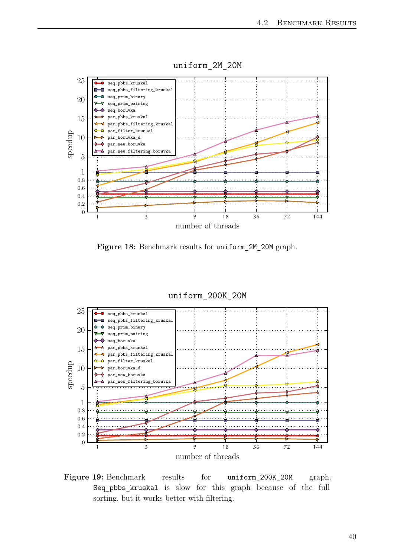<span id="page-45-0"></span>

uniform\_2M\_20M



<span id="page-45-1"></span>

Figure 19: Benchmark results for uniform 200K 20M graph. Seq\_pbbs\_kruskal is slow for this graph because of the full sorting, but it works better with filtering.

#### 40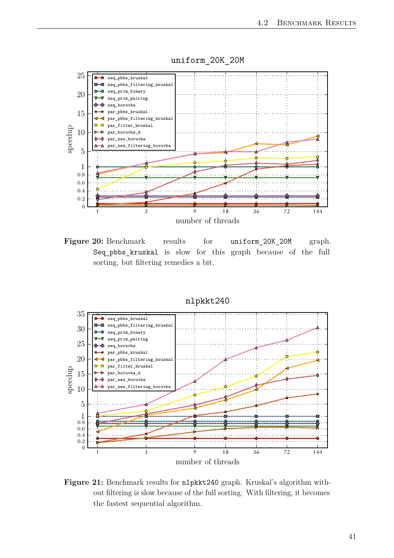<span id="page-46-0"></span>

Figure 20: Benchmark results for uniform\_20K\_20M graph. Seq\_pbbs\_kruskal is slow for this graph because of the full sorting, but filtering remedies a bit.

<span id="page-46-1"></span>

**Figure 21:** Benchmark results for nlpkkt240 graph. Kruskal's algorithm without filtering is slow because of the full sorting. With filtering, it becomes the fastest sequential algorithm.

## uniform\_20K\_20M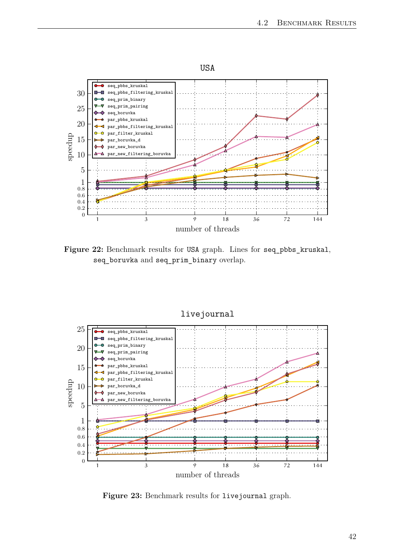<span id="page-47-0"></span>

Figure 22: Benchmark results for USA graph. Lines for seq\_pbbs\_kruskal, seq\_boruvka and seq\_prim\_binary overlap.

<span id="page-47-1"></span>

livejournal

**Figure 23:** Benchmark results for livejournal graph.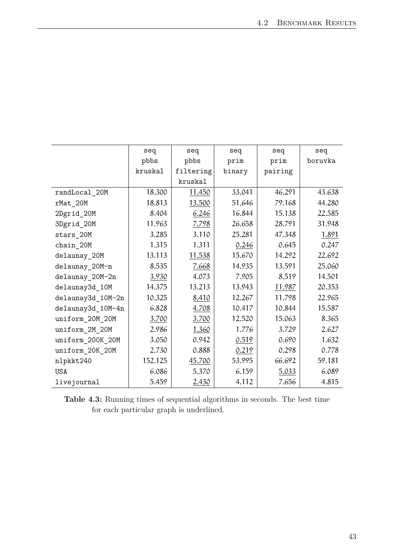<span id="page-48-0"></span>

|                   | seq     | seq       | seq    | seq     | seq     |  |
|-------------------|---------|-----------|--------|---------|---------|--|
|                   | pbbs    | pbbs      | prim   | prim    | boruvka |  |
|                   | kruskal | filtering | binary | pairing |         |  |
|                   |         | kruskal   |        |         |         |  |
| randLocal_20M     | 18.300  | 11.450    | 33.041 | 46.291  | 43.638  |  |
| rMat_20M          | 18.813  | 13.500    | 51.646 | 79.168  | 44.280  |  |
| 2Dgrid_20M        | 8.404   | 6.246     | 16.844 | 15.138  | 22.585  |  |
| 3Dgrid_20M        | 11.963  | 7.798     | 26.658 | 28.791  | 31.948  |  |
| stars_20M         | 3.285   | 3.110     | 25.281 | 47.348  | 1.891   |  |
| $chain_2$ OM      | 1.315   | 1.311     | 0.246  | 0.645   | 0.247   |  |
| delaunay_20M      | 13.113  | 11.538    | 15.670 | 14.292  | 22.692  |  |
| delaunay_20M-n    | 8.535   | 7.668     | 14.935 | 13.591  | 25.060  |  |
| delaunay_20M-2n   | 3.930   | 4.073     | 7.905  | 8.519   | 14.501  |  |
| delaunay3d_10M    | 14.375  | 13.213    | 13.943 | 11.987  | 20.353  |  |
| delaunay3d_10M-2n | 10.325  | 8.410     | 12.267 | 11.798  | 22.965  |  |
| delaunay3d 10M-4n | 6.828   | 4.708     | 10.417 | 10.844  | 15.587  |  |
| uniform_20M_20M   | 3.700   | 3.700     | 12.520 | 15.063  | 8.365   |  |
| uniform_2M_20M    | 2.986   | 1.360     | 1.776  | 3.729   | 2.627   |  |
| uniform_200K_20M  | 3.050   | 0.942     | 0.519  | 0.690   | 1.632   |  |
| uniform_20K_20M   | 2.730   | 0.888     | 0.219  | 0.298   | 0.778   |  |
| nlpkkt240         | 152.125 | 45.700    | 53.995 | 66.692  | 59.181  |  |
| <b>USA</b>        | 6.086   | 5.370     | 6.159  | 5.033   | 6.089   |  |
| livejournal       | 5.459   | 2.430     | 4.112  | 7.656   | 4.815   |  |

**Table 4.3:** Running times of sequential algorithms in seconds. The best time for each particular graph is underlined.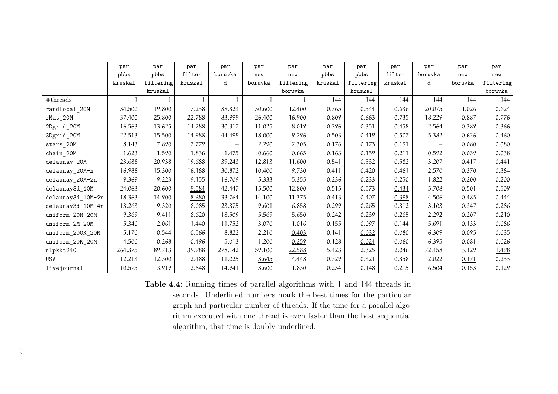|                   | par     | par       | par     | par     | par     | par       | par     | par       | par     | par     | par     | par       |
|-------------------|---------|-----------|---------|---------|---------|-----------|---------|-----------|---------|---------|---------|-----------|
|                   | pbbs    | pbbs      | filter  | boruvka | new     | new       | pbbs    | pbbs      | filter  | boruvka | new     | new       |
|                   | kruskal | filtering | kruskal | d       | boruvka | filtering | kruskal | filtering | kruskal | d       | boruvka | filtering |
|                   |         | kruskal   |         |         |         | boruvka   |         | kruskal   |         |         |         | boruvka   |
| $\#$ threads      |         |           |         |         |         |           | 144     | 144       | 144     | 144     | 144     | 144       |
| randLocal_20M     | 34.500  | 19.800    | 17.238  | 88.823  | 30.600  | 12.400    | 0.765   | 0.544     | 0.636   | 20.075  | 1.026   | 0.624     |
| rMat_20M          | 37.400  | 25.800    | 22.788  | 83.999  | 26.400  | 16.900    | 0.809   | 0.663     | 0.735   | 18.229  | 0.887   | 0.776     |
| 2Dgrid_20M        | 16.563  | 13.625    | 14.288  | 30.317  | 11.025  | 8.019     | 0.396   | 0.351     | 0.458   | 2.564   | 0.389   | 0.366     |
| 3Dgrid_20M        | 22.513  | 15.500    | 14.988  | 44.499  | 18.000  | 9.296     | 0.503   | 0.419     | 0.507   | 5.382   | 0.626   | 0.460     |
| stars_20M         | 8.143   | 7.890     | 7.779   |         | 2.290   | 2.305     | 0.176   | 0.173     | 0.191   |         | 0.080   | 0.080     |
| chain_20M         | 1.623   | 1.590     | 1.836   | 1.475   | 0.660   | 0.665     | 0.163   | 0.159     | 0.211   | 0.592   | 0.039   | 0.038     |
| delaunay_20M      | 23.688  | 20.938    | 19.688  | 39.243  | 12.813  | 11.600    | 0.541   | 0.532     | 0.582   | 3.207   | 0.417   | 0.441     |
| delaunay_20M-n    | 16.988  | 15.300    | 16.188  | 30.872  | 10.400  | 9.730     | 0.411   | 0.420     | 0.461   | 2.570   | 0.370   | 0.384     |
| delaunay_20M-2n   | 9.369   | 9.223     | 9.155   | 16.709  | 5.333   | 5.355     | 0.236   | 0.233     | 0.250   | 1.822   | 0.200   | 0.200     |
| delaunay3d 10M    | 24.063  | 20.600    | 9.584   | 42.447  | 15.500  | 12.800    | 0.515   | 0.573     | 0.434   | 5.708   | 0.501   | 0.509     |
| delaunay3d_10M-2n | 18.363  | 14.900    | 8.680   | 33.764  | 14.100  | 11.375    | 0.413   | 0.407     | 0.398   | 4.506   | 0.485   | 0.444     |
| delaunay3d_10M-4n | 13.263  | 9.320     | 8.085   | 23.375  | 9.601   | 6.858     | 0.299   | 0.265     | 0.312   | 3.103   | 0.347   | 0.286     |
| uniform_20M_20M   | 9.369   | 9.411     | 8.620   | 18.509  | 5.569   | 5.650     | 0.242   | 0.239     | 0.265   | 2.292   | 0.207   | 0.210     |
| uniform_2M_20M    | 5.340   | 2.061     | 1.440   | 11.752  | 3.070   | 1.016     | 0.155   | 0.097     | 0.144   | 5.691   | 0.133   | 0.086     |
| uniform_200K_20M  | 5.170   | 0.544     | 0.566   | 8.822   | 2.210   | 0.403     | 0.141   | 0.032     | 0.080   | 6.309   | 0.095   | 0.035     |
| uniform_20K_20M   | 4.500   | 0.268     | 0.496   | 5.013   | 1.200   | 0.259     | 0.128   | 0.024     | 0.060   | 6.395   | 0.081   | 0.026     |
| nlpkkt240         | 264.375 | 89.713    | 39.988  | 278.142 | 59.100  | 22.588    | 5.423   | 2.325     | 2.046   | 72.458  | 3.129   | 1.498     |
| <b>USA</b>        | 12.213  | 12.300    | 12.488  | 11.025  | 3.645   | 4.448     | 0.329   | 0.321     | 0.358   | 2.022   | 0.171   | 0.253     |
| livejournal       | 10.575  | 3.919     | 2.848   | 14.941  | 3.600   | 1.830     | 0.234   | 0.148     | 0.215   | 6.504   | 0.153   | 0.129     |

<span id="page-49-0"></span>**Table 4.4:** Running times of parallel algorithms with <sup>1</sup> and <sup>144</sup> threads in seconds. Underlined numbers mark the best times for the particular graph and particular number of threads. If the time for <sup>a</sup> parallel algorithm executed with one thread is even faster than the best sequentialalgorithm, that time is doubly underlined.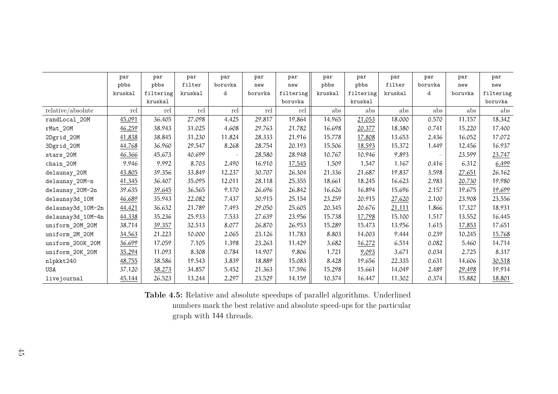<span id="page-50-0"></span>

|                   | par     | par       | par     | par     | par     | par       | par     | par       | par     | par     | par     | par       |
|-------------------|---------|-----------|---------|---------|---------|-----------|---------|-----------|---------|---------|---------|-----------|
|                   | pbbs    | pbbs      | filter  | boruvka | new     | new       | pbbs    | pbbs      | filter  | boruvka | new     | new       |
|                   | kruskal | filtering | kruskal | d       | boruvka | filtering | kruskal | filtering | kruskal | d       | boruvka | filtering |
|                   |         | kruskal   |         |         |         | boruvka   |         | kruskal   |         |         |         | boruvka   |
| relative/absolute | rel     | rel       | rel     | rel     | rel     | rel       | abs     | abs       | abs     | abs     | abs     | abs       |
| randLocal_20M     | 45.091  | 36.405    | 27.098  | 4.425   | 29.817  | 19.864    | 14.965  | 21.053    | 18.000  | 0.570   | 11.157  | 18.342    |
| rMat_20M          | 46.259  | 38.943    | 31.025  | 4.608   | 29.763  | 21.782    | 16.698  | 20.377    | 18.380  | 0.741   | 15.220  | 17.400    |
| 2Dgrid_20M        | 41.838  | 38.845    | 31.230  | 11.824  | 28.333  | 21.916    | 15.778  | 17.808    | 13.653  | 2.436   | 16.052  | 17.072    |
| 3Dgrid_20M        | 44.768  | 36.960    | 29.547  | 8.268   | 28.754  | 20.193    | 15.506  | 18.593    | 15.372  | 1.449   | 12.456  | 16.937    |
| stars_20M         | 46.366  | 45.673    | 40.699  |         | 28.580  | 28.948    | 10.767  | 10.946    | 9.893   |         | 23.599  | 23.747    |
| $chain_2$ OM      | 9.946   | 9.992     | 8.703   | 2.490   | 16.910  | 17.545    | 1.509   | 1.547     | 1.167   | 0.416   | 6.312   | 6.499     |
| delaunay_20M      | 43.805  | 39.356    | 33.849  | 12.237  | 30.707  | 26.304    | 21.336  | 21.687    | 19.837  | 3.598   | 27.651  | 26.162    |
| delaunay_20M-n    | 41.345  | 36.407    | 35.095  | 12.011  | 28.118  | 25.355    | 18.661  | 18.245    | 16.623  | 2.983   | 20.730  | 19.980    |
| delaunay_20M-2n   | 39.635  | 39.645    | 36.565  | 9.170   | 26.696  | 26.842    | 16.626  | 16.894    | 15.696  | 2.157   | 19.675  | 19.699    |
| delaunay3d_10M    | 46.689  | 35.943    | 22.082  | 7.437   | 30.915  | 25.154    | 23.259  | 20.915    | 27.620  | 2.100   | 23.908  | 23.556    |
| delaunay3d_10M-2n | 44.421  | 36.632    | 21.789  | 7.493   | 29.050  | 25.605    | 20.345  | 20.676    | 21.111  | 1.866   | 17.327  | 18.931    |
| delaunay3d_10M-4n | 44.338  | 35.236    | 25.933  | 7.533   | 27.639  | 23.956    | 15.738  | 17.798    | 15.100  | 1.517   | 13.552  | 16.445    |
| uniform_20M_20M   | 38.714  | 39.357    | 32.513  | 8.077   | 26.870  | 26.953    | 15.289  | 15.473    | 13.956  | 1.615   | 17.853  | 17.651    |
| uniform_2M_20M    | 34.563  | 21.223    | 10.000  | 2.065   | 23.126  | 11.783    | 8.803   | 14.003    | 9.444   | 0.239   | 10.245  | 15.768    |
| uniform_200K_20M  | 36.699  | 17.059    | 7.105   | 1.398   | 23.263  | 11.429    | 3.682   | 16.272    | 6.514   | 0.082   | 5.460   | 14.714    |
| uniform_20K_20M   | 35.294  | 11.093    | 8.308   | 0.784   | 14.907  | 9.806     | 1.721   | 9.093     | 3.671   | 0.034   | 2.725   | 8.317     |
| nlpkkt240         | 48.755  | 38.586    | 19.543  | 3.839   | 18.889  | 15.083    | 8.428   | 19.656    | 22.335  | 0.631   | 14.606  | 30.518    |
| USA               | 37.120  | 38.273    | 34.857  | 5.452   | 21.363  | 17.596    | 15.298  | 15.661    | 14.049  | 2.489   | 29.498  | 19.914    |
| livejournal       | 45.144  | 26.523    | 13.244  | 2.297   | 23.529  | 14.159    | 10.374  | 16.447    | 11.302  | 0.374   | 15.882  | 18.801    |

**Table 4.5:** Relative and absolute speedups of parallel algorithms. Underlined numbers mark the best relative and absolute speed-ups for the particulargraph with <sup>144</sup> threads.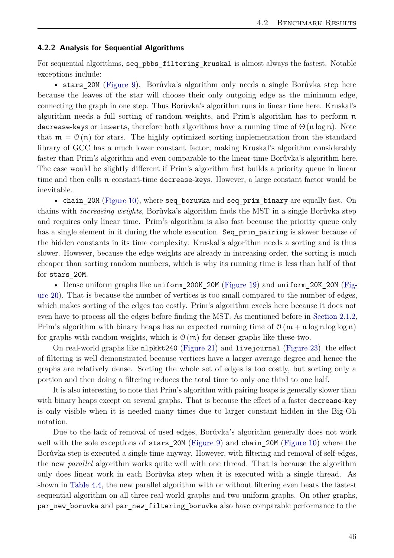#### <span id="page-51-0"></span>**4.2.2 Analysis for Sequential Algorithms**

For sequential algorithms, seq pbbs filtering kruskal is almost always the fastest. Notable exceptions include:

• stars 20M [\(Figure 9\)](#page-40-1). Borůvka's algorithm only needs a single Borůvka step here because the leaves of the star will choose their only outgoing edge as the minimum edge, connecting the graph in one step. Thus Borůvka's algorithm runs in linear time here. Kruskal's algorithm needs a full sorting of random weights, and Prim's algorithm has to perform  $\pi$ decrease-keys or inserts, therefore both algorithms have a running time of  $\Theta(n \log n)$ . Note that  $m = \mathcal{O}(n)$  for stars. The highly optimized sorting implementation from the standard library of GCC has a much lower constant factor, making Kruskal's algorithm considerably faster than Prim's algorithm and even comparable to the linear-time Borůvka's algorithm here. The case would be slightly different if Prim's algorithm first builds a priority queue in linear time and then calls n constant-time decrease-keys. However, a large constant factor would be inevitable.

• chain\_20M [\(Figure 10\)](#page-41-0), where seq\_boruvka and seq\_prim\_binary are equally fast. On chains with *increasing weights*, Borůvka's algorithm finds the MST in a single Borůvka step and requires only linear time. Prim's algorithm is also fast because the priority queue only has a single element in it during the whole execution. Seq prim pairing is slower because of the hidden constants in its time complexity. Kruskal's algorithm needs a sorting and is thus slower. However, because the edge weights are already in increasing order, the sorting is much cheaper than sorting random numbers, which is why its running time is less than half of that for stars\_20M.

• Dense uniform graphs like uniform\_200K\_20M [\(Figure 19\)](#page-45-1) and uniform\_20K\_20M [\(Fig](#page-46-0)[ure 20\)](#page-46-0). That is because the number of vertices is too small compared to the number of edges, which makes sorting of the edges too costly. Prim's algorithm excels here because it does not even have to process all the edges before finding the MST. As mentioned before in [Section 2.1.2,](#page-12-0) Prim's algorithm with binary heaps has an expected running time of  $\mathcal{O}(m + n \log n \log \log n)$ for graphs with random weights, which is  $\mathcal{O}(m)$  for denser graphs like these two.

On real-world graphs like nlpkkt240 [\(Figure 21\)](#page-46-1) and livejournal [\(Figure 23\)](#page-47-1), the effect of filtering is well demonstrated because vertices have a larger average degree and hence the graphs are relatively dense. Sorting the whole set of edges is too costly, but sorting only a portion and then doing a filtering reduces the total time to only one third to one half.

It is also interesting to note that Prim's algorithm with pairing heaps is generally slower than with binary heaps except on several graphs. That is because the effect of a faster decrease-key is only visible when it is needed many times due to larger constant hidden in the Big-Oh notation.

Due to the lack of removal of used edges, Borůvka's algorithm generally does not work well with the sole exceptions of stars\_20M [\(Figure 9\)](#page-40-1) and chain\_20M [\(Figure 10\)](#page-41-0) where the Borůvka step is executed a single time anyway. However, with filtering and removal of self-edges, the new *parallel* algorithm works quite well with one thread. That is because the algorithm only does linear work in each Borůvka step when it is executed with a single thread. As shown in [Table 4.4,](#page-49-0) the new parallel algorithm with or without filtering even beats the fastest sequential algorithm on all three real-world graphs and two uniform graphs. On other graphs, par new boruvka and par new filtering boruvka also have comparable performance to the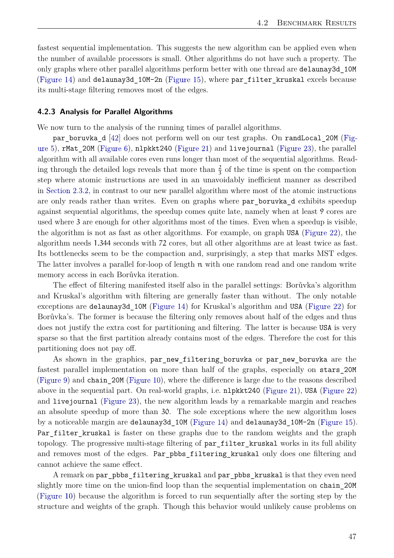<span id="page-52-1"></span>fastest sequential implementation. This suggests the new algorithm can be applied even when the number of available processors is small. Other algorithms do not have such a property. The only graphs where other parallel algorithms perform better with one thread are delaunay3d\_10M [\(Figure 14\)](#page-43-0) and delaunay3d 10M-2n [\(Figure 15\)](#page-43-1), where par filter kruskal excels because its multi-stage filtering removes most of the edges.

#### <span id="page-52-0"></span>**4.2.3 Analysis for Parallel Algorithms**

We now turn to the analysis of the running times of parallel algorithms.

par\_boruvka\_d [\[42\]](#page-57-10) does not perform well on our test graphs. On randLocal\_20M [\(Fig](#page-38-2)[ure 5\)](#page-38-2), rMat\_20M [\(Figure 6\)](#page-39-0), nlpkkt240 [\(Figure 21\)](#page-46-1) and livejournal [\(Figure 23\)](#page-47-1), the parallel algorithm with all available cores even runs longer than most of the sequential algorithms. Reading through the detailed logs reveals that more than  $\frac{2}{3}$  of the time is spent on the compaction step where atomic instructions are used in an unavoidably inefficient manner as described in [Section 2.3.2,](#page-22-0) in contrast to our new parallel algorithm where most of the atomic instructions are only reads rather than writes. Even on graphs where par boruvka d exhibits speedup against sequential algorithms, the speedup comes quite late, namely when at least 9 cores are used where 3 are enough for other algorithms most of the times. Even when a speedup is visible, the algorithm is not as fast as other algorithms. For example, on graph USA [\(Figure 22\)](#page-47-0), the algorithm needs 1.344 seconds with 72 cores, but all other algorithms are at least twice as fast. Its bottlenecks seem to be the compaction and, surprisingly, a step that marks MST edges. The latter involves a parallel for-loop of length  $\pi$  with one random read and one random write memory access in each Borůvka iteration.

The effect of filtering manifested itself also in the parallel settings: Borůvka's algorithm and Kruskal's algorithm with filtering are generally faster than without. The only notable exceptions are delaunay3d\_10M [\(Figure 14\)](#page-43-0) for Kruskal's algorithm and USA [\(Figure 22\)](#page-47-0) for Borůvka's. The former is because the filtering only removes about half of the edges and thus does not justify the extra cost for partitioning and filtering. The latter is because USA is very sparse so that the first partition already contains most of the edges. Therefore the cost for this partitioning does not pay off.

As shown in the graphics, par\_new\_filtering\_boruvka or par\_new\_boruvka are the fastest parallel implementation on more than half of the graphs, especially on stars\_20M [\(Figure 9\)](#page-40-1) and chain\_20M [\(Figure 10\)](#page-41-0), where the difference is large due to the reasons described above in the sequential part. On real-world graphs, i.e. nlpkkt240 [\(Figure 21\)](#page-46-1), USA [\(Figure 22\)](#page-47-0) and livejournal [\(Figure 23\)](#page-47-1), the new algorithm leads by a remarkable margin and reaches an absolute speedup of more than 30. The sole exceptions where the new algorithm loses by a noticeable margin are delaunay3d\_10M [\(Figure 14\)](#page-43-0) and delaunay3d\_10M-2n [\(Figure 15\)](#page-43-1). Par filter kruskal is faster on these graphs due to the random weights and the graph topology. The progressive multi-stage filtering of par filter kruskal works in its full ability and removes most of the edges. Par pbbs filtering kruskal only does one filtering and cannot achieve the same effect.

A remark on par\_pbbs\_filtering\_kruskal and par\_pbbs\_kruskal is that they even need slightly more time on the union-find loop than the sequential implementation on chain\_20M [\(Figure 10\)](#page-41-0) because the algorithm is forced to run sequentially after the sorting step by the structure and weights of the graph. Though this behavior would unlikely cause problems on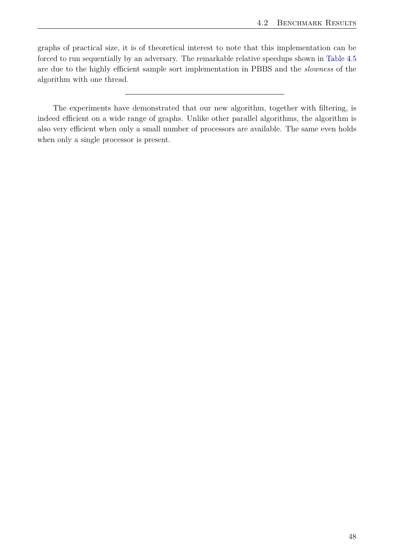graphs of practical size, it is of theoretical interest to note that this implementation can be forced to run sequentially by an adversary. The remarkable relative speedups shown in [Table 4.5](#page-50-0) are due to the highly efficient sample sort implementation in PBBS and the *slowness* of the algorithm with one thread.

The experiments have demonstrated that our new algorithm, together with filtering, is indeed efficient on a wide range of graphs. Unlike other parallel algorithms, the algorithm is also very efficient when only a small number of processors are available. The same even holds when only a single processor is present.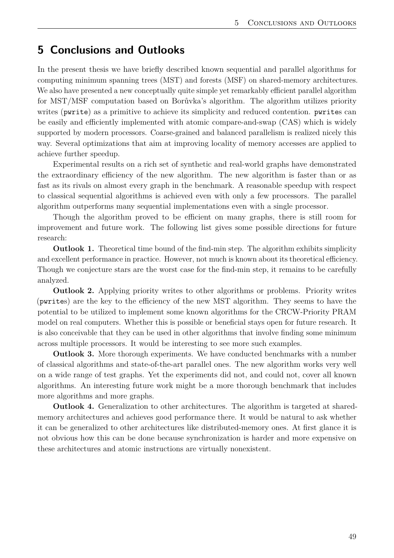# <span id="page-54-0"></span>**5 Conclusions and Outlooks**

In the present thesis we have briefly described known sequential and parallel algorithms for computing minimum spanning trees (MST) and forests (MSF) on shared-memory architectures. We also have presented a new conceptually quite simple yet remarkably efficient parallel algorithm for MST/MSF computation based on Borůvka's algorithm. The algorithm utilizes priority writes (pwrite) as a primitive to achieve its simplicity and reduced contention. pwrites can be easily and efficiently implemented with atomic compare-and-swap (CAS) which is widely supported by modern processors. Coarse-grained and balanced parallelism is realized nicely this way. Several optimizations that aim at improving locality of memory accesses are applied to achieve further speedup.

Experimental results on a rich set of synthetic and real-world graphs have demonstrated the extraordinary efficiency of the new algorithm. The new algorithm is faster than or as fast as its rivals on almost every graph in the benchmark. A reasonable speedup with respect to classical sequential algorithms is achieved even with only a few processors. The parallel algorithm outperforms many sequential implementations even with a single processor.

Though the algorithm proved to be efficient on many graphs, there is still room for improvement and future work. The following list gives some possible directions for future research:

**Outlook 1.** Theoretical time bound of the find-min step. The algorithm exhibits simplicity and excellent performance in practice. However, not much is known about its theoretical efficiency. Though we conjecture stars are the worst case for the find-min step, it remains to be carefully analyzed.

**Outlook 2.** Applying priority writes to other algorithms or problems. Priority writes (pwrites) are the key to the efficiency of the new MST algorithm. They seems to have the potential to be utilized to implement some known algorithms for the CRCW-Priority PRAM model on real computers. Whether this is possible or beneficial stays open for future research. It is also conceivable that they can be used in other algorithms that involve finding some minimum across multiple processors. It would be interesting to see more such examples.

**Outlook 3.** More thorough experiments. We have conducted benchmarks with a number of classical algorithms and state-of-the-art parallel ones. The new algorithm works very well on a wide range of test graphs. Yet the experiments did not, and could not, cover all known algorithms. An interesting future work might be a more thorough benchmark that includes more algorithms and more graphs.

**Outlook 4.** Generalization to other architectures. The algorithm is targeted at sharedmemory architectures and achieves good performance there. It would be natural to ask whether it can be generalized to other architectures like distributed-memory ones. At first glance it is not obvious how this can be done because synchronization is harder and more expensive on these architectures and atomic instructions are virtually nonexistent.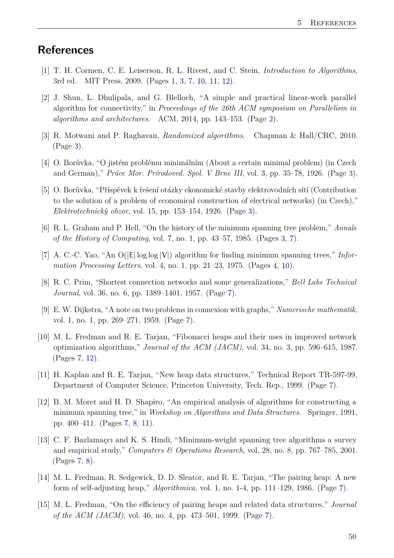## <span id="page-55-0"></span>**References**

- <span id="page-55-1"></span>[1] T. H. Cormen, C. E. Leiserson, R. L. Rivest, and C. Stein, *Introduction to Algorithms*, 3rd ed. MIT Press, 2009. (Pages [1,](#page-6-3) [3,](#page-8-5) [7,](#page-12-2) [10,](#page-15-3) [11,](#page-16-1) [12\)](#page-17-1).
- <span id="page-55-2"></span>[2] J. Shun, L. Dhulipala, and G. Blelloch, "A simple and practical linear-work parallel algorithm for connectivity," in *Proceedings of the 26th ACM symposium on Parallelism in algorithms and architectures*. ACM, 2014, pp. 143–153. (Page [2\)](#page-7-2).
- <span id="page-55-3"></span>[3] R. Motwani and P. Raghavan, *Randomized algorithms*. Chapman & Hall/CRC, 2010. (Page [3\)](#page-8-5).
- <span id="page-55-4"></span>[4] O. Borůvka, "O jistém problému minimálním (About a certain minimal problem) (in Czech and German)," *Práce Mor. Prírodoved. Spol. V Brne III*, vol. 3, pp. 35–78, 1926. (Page [3\)](#page-8-5).
- <span id="page-55-5"></span>[5] O. Borůvka, "Příspěvek k řešení otázky ekonomické stavby elektrovodních sítí (Contribution to the solution of a problem of economical construction of electrical networks) (in Czech)," *Elektrotechnick`y obzor*, vol. 15, pp. 153–154, 1926. (Page [3\)](#page-8-5).
- <span id="page-55-6"></span>[6] R. L. Graham and P. Hell, "On the history of the minimum spanning tree problem," *Annals of the History of Computing*, vol. 7, no. 1, pp. 43–57, 1985. (Pages [3,](#page-8-5) [7\)](#page-12-2).
- <span id="page-55-7"></span>[7] A. C.-C. Yao, "An  $O(|E| \log \log |V|)$  algorithm for finding minimum spanning trees," *Information Processing Letters*, vol. 4, no. 1, pp. 21–23, 1975. (Pages [4,](#page-9-1) [10\)](#page-15-3).
- <span id="page-55-8"></span>[8] R. C. Prim, "Shortest connection networks and some generalizations," *Bell Labs Technical Journal*, vol. 36, no. 6, pp. 1389–1401, 1957. (Page [7\)](#page-12-2).
- <span id="page-55-9"></span>[9] E. W. Dijkstra, "A note on two problems in connexion with graphs," *Numerische mathematik*, vol. 1, no. 1, pp. 269–271, 1959. (Page [7\)](#page-12-2).
- <span id="page-55-10"></span>[10] M. L. Fredman and R. E. Tarjan, "Fibonacci heaps and their uses in improved network optimization algorithms," *Journal of the ACM (JACM)*, vol. 34, no. 3, pp. 596–615, 1987. (Pages [7,](#page-12-2) [12\)](#page-17-1).
- <span id="page-55-11"></span>[11] H. Kaplan and R. E. Tarjan, "New heap data structures," Technical Report TR-597-99, Department of Computer Science, Princeton University, Tech. Rep., 1999. (Page [7\)](#page-12-2).
- <span id="page-55-12"></span>[12] B. M. Moret and H. D. Shapiro, "An empirical analysis of algorithms for constructing a minimum spanning tree," in *Workshop on Algorithms and Data Structures*. Springer, 1991, pp. 400–411. (Pages [7,](#page-12-2) [8,](#page-13-2) [11\)](#page-16-1).
- <span id="page-55-13"></span>[13] C. F. Bazlamaçcı and K. S. Hindi, "Minimum-weight spanning tree algorithms a survey and empirical study," *Computers & Operations Research*, vol. 28, no. 8, pp. 767–785, 2001. (Pages [7,](#page-12-2) [8\)](#page-13-2).
- <span id="page-55-14"></span>[14] M. L. Fredman, R. Sedgewick, D. D. Sleator, and R. E. Tarjan, "The pairing heap: A new form of self-adjusting heap," *Algorithmica*, vol. 1, no. 1-4, pp. 111–129, 1986. (Page [7\)](#page-12-2).
- <span id="page-55-15"></span>[15] M. L. Fredman, "On the efficiency of pairing heaps and related data structures," *Journal of the ACM (JACM)*, vol. 46, no. 4, pp. 473–501, 1999. (Page [7\)](#page-12-2).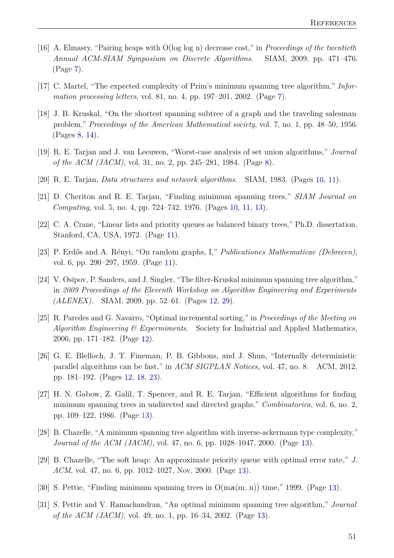- <span id="page-56-0"></span>[16] A. Elmasry, "Pairing heaps with O(log log n) decrease cost," in *Proceedings of the twentieth Annual ACM-SIAM Symposium on Discrete Algorithms*. SIAM, 2009, pp. 471–476. (Page [7\)](#page-12-2).
- <span id="page-56-1"></span>[17] C. Martel, "The expected complexity of Prim's minimum spanning tree algorithm," *Information processing letters*, vol. 81, no. 4, pp. 197–201, 2002. (Page [7\)](#page-12-2).
- <span id="page-56-2"></span>[18] J. B. Kruskal, "On the shortest spanning subtree of a graph and the traveling salesman problem," *Proceedings of the American Mathematical society*, vol. 7, no. 1, pp. 48–50, 1956. (Pages [8,](#page-13-2) [14\)](#page-19-2).
- <span id="page-56-3"></span>[19] R. E. Tarjan and J. van Leeuwen, "Worst-case analysis of set union algorithms," *Journal of the ACM (JACM)*, vol. 31, no. 2, pp. 245–281, 1984. (Page [8\)](#page-13-2).
- <span id="page-56-4"></span>[20] R. E. Tarjan, *Data structures and network algorithms*. SIAM, 1983. (Pages [10,](#page-15-3) [11\)](#page-16-1).
- <span id="page-56-5"></span>[21] D. Cheriton and R. E. Tarjan, "Finding minimum spanning trees," *SIAM Journal on Computing*, vol. 5, no. 4, pp. 724–742, 1976. (Pages [10,](#page-15-3) [11,](#page-16-1) [13\)](#page-18-0).
- <span id="page-56-6"></span>[22] C. A. Crane, "Linear lists and priority queues as balanced binary trees," Ph.D. dissertation, Stanford, CA, USA, 1972. (Page [11\)](#page-16-1).
- <span id="page-56-7"></span>[23] P. Erdős and A. Rényi, "On random graphs, I," *Publicationes Mathematicae (Debrecen)*, vol. 6, pp. 290–297, 1959. (Page [11\)](#page-16-1).
- <span id="page-56-8"></span>[24] V. Osipov, P. Sanders, and J. Singler, "The filter-Kruskal minimum spanning tree algorithm," in *2009 Proceedings of the Eleventh Workshop on Algorithm Engineering and Experiments (ALENEX)*. SIAM, 2009, pp. 52–61. (Pages [12,](#page-17-1) [29\)](#page-34-3).
- <span id="page-56-9"></span>[25] R. Paredes and G. Navarro, "Optimal incremental sorting," in *Proceedings of the Meeting on Algorithm Engineering & Expermiments*. Society for Industrial and Applied Mathematics, 2006, pp. 171–182. (Page [12\)](#page-17-1).
- <span id="page-56-10"></span>[26] G. E. Blelloch, J. T. Fineman, P. B. Gibbons, and J. Shun, "Internally deterministic parallel algorithms can be fast," in *ACM SIGPLAN Notices*, vol. 47, no. 8. ACM, 2012, pp. 181–192. (Pages [12,](#page-17-1) [18,](#page-23-2) [23\)](#page-28-2).
- <span id="page-56-11"></span>[27] H. N. Gabow, Z. Galil, T. Spencer, and R. E. Tarjan, "Efficient algorithms for finding minimum spanning trees in undirected and directed graphs," *Combinatorica*, vol. 6, no. 2, pp. 109–122, 1986. (Page [13\)](#page-18-0).
- <span id="page-56-12"></span>[28] B. Chazelle, "A minimum spanning tree algorithm with inverse-ackermann type complexity," *Journal of the ACM (JACM)*, vol. 47, no. 6, pp. 1028–1047, 2000. (Page [13\)](#page-18-0).
- <span id="page-56-13"></span>[29] B. Chazelle, "The soft heap: An approximate priority queue with optimal error rate," *J. ACM*, vol. 47, no. 6, pp. 1012–1027, Nov. 2000. (Page [13\)](#page-18-0).
- <span id="page-56-14"></span>[30] S. Pettie, "Finding minimum spanning trees in  $O(m\alpha(m, n))$  time," 1999. (Page [13\)](#page-18-0).
- <span id="page-56-15"></span>[31] S. Pettie and V. Ramachandran, "An optimal minimum spanning tree algorithm," *Journal of the ACM (JACM)*, vol. 49, no. 1, pp. 16–34, 2002. (Page [13\)](#page-18-0).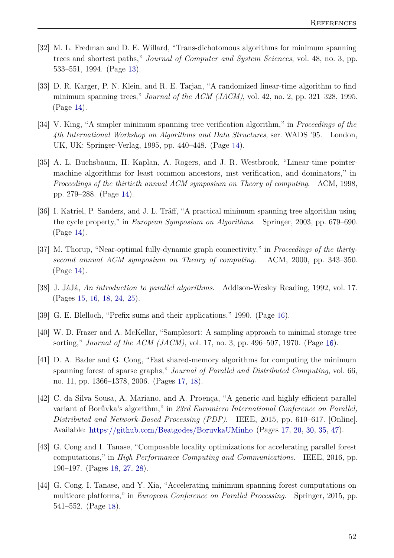- <span id="page-57-0"></span>[32] M. L. Fredman and D. E. Willard, "Trans-dichotomous algorithms for minimum spanning trees and shortest paths," *Journal of Computer and System Sciences*, vol. 48, no. 3, pp. 533–551, 1994. (Page [13\)](#page-18-0).
- <span id="page-57-1"></span>[33] D. R. Karger, P. N. Klein, and R. E. Tarjan, "A randomized linear-time algorithm to find minimum spanning trees," *Journal of the ACM (JACM)*, vol. 42, no. 2, pp. 321–328, 1995. (Page [14\)](#page-19-2).
- <span id="page-57-2"></span>[34] V. King, "A simpler minimum spanning tree verification algorithm," in *Proceedings of the 4th International Workshop on Algorithms and Data Structures*, ser. WADS '95. London, UK, UK: Springer-Verlag, 1995, pp. 440–448. (Page [14\)](#page-19-2).
- <span id="page-57-3"></span>[35] A. L. Buchsbaum, H. Kaplan, A. Rogers, and J. R. Westbrook, "Linear-time pointermachine algorithms for least common ancestors, mst verification, and dominators," in *Proceedings of the thirtieth annual ACM symposium on Theory of computing*. ACM, 1998, pp. 279–288. (Page [14\)](#page-19-2).
- <span id="page-57-4"></span>[36] I. Katriel, P. Sanders, and J. L. Träff, "A practical minimum spanning tree algorithm using the cycle property," in *European Symposium on Algorithms*. Springer, 2003, pp. 679–690. (Page [14\)](#page-19-2).
- <span id="page-57-5"></span>[37] M. Thorup, "Near-optimal fully-dynamic graph connectivity," in *Proceedings of the thirtysecond annual ACM symposium on Theory of computing*. ACM, 2000, pp. 343–350. (Page [14\)](#page-19-2).
- <span id="page-57-6"></span>[38] J. JáJá, *An introduction to parallel algorithms*. Addison-Wesley Reading, 1992, vol. 17. (Pages [15,](#page-20-0) [16,](#page-21-0) [18,](#page-23-2) [24,](#page-29-4) [25\)](#page-30-1).
- <span id="page-57-7"></span>[39] G. E. Blelloch, "Prefix sums and their applications," 1990. (Page [16\)](#page-21-0).
- <span id="page-57-8"></span>[40] W. D. Frazer and A. McKellar, "Samplesort: A sampling approach to minimal storage tree sorting," *Journal of the ACM (JACM)*, vol. 17, no. 3, pp. 496–507, 1970. (Page [16\)](#page-21-0).
- <span id="page-57-9"></span>[41] D. A. Bader and G. Cong, "Fast shared-memory algorithms for computing the minimum spanning forest of sparse graphs," *Journal of Parallel and Distributed Computing*, vol. 66, no. 11, pp. 1366–1378, 2006. (Pages [17,](#page-22-1) [18\)](#page-23-2).
- <span id="page-57-10"></span>[42] C. da Silva Sousa, A. Mariano, and A. Proença, "A generic and highly efficient parallel variant of Borůvka's algorithm," in *23rd Euromicro International Conference on Parallel, Distributed and Network-Based Processing (PDP)*. IEEE, 2015, pp. 610–617. [Online]. Available: <https://github.com/Beatgodes/BoruvkaUMinho> (Pages [17,](#page-22-1) [20,](#page-25-0) [30,](#page-35-0) [35,](#page-40-2) [47\)](#page-52-1).
- <span id="page-57-11"></span>[43] G. Cong and I. Tanase, "Composable locality optimizations for accelerating parallel forest computations," in *High Performance Computing and Communications*. IEEE, 2016, pp. 190–197. (Pages [18,](#page-23-2) [27,](#page-32-0) [28\)](#page-33-0).
- <span id="page-57-12"></span>[44] G. Cong, I. Tanase, and Y. Xia, "Accelerating minimum spanning forest computations on multicore platforms," in *European Conference on Parallel Processing*. Springer, 2015, pp. 541–552. (Page [18\)](#page-23-2).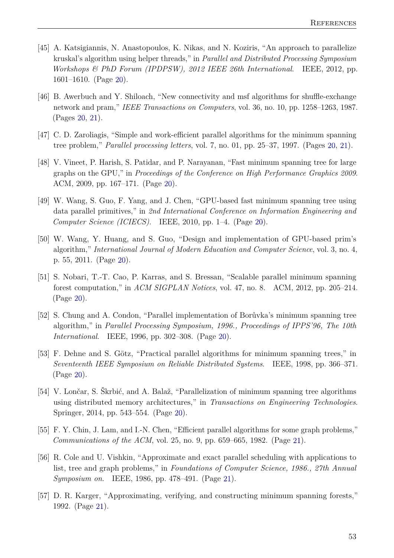- <span id="page-58-0"></span>[45] A. Katsigiannis, N. Anastopoulos, K. Nikas, and N. Koziris, "An approach to parallelize kruskal's algorithm using helper threads," in *Parallel and Distributed Processing Symposium Workshops & PhD Forum (IPDPSW), 2012 IEEE 26th International*. IEEE, 2012, pp. 1601–1610. (Page [20\)](#page-25-0).
- <span id="page-58-1"></span>[46] B. Awerbuch and Y. Shiloach, "New connectivity and msf algorithms for shuffle-exchange network and pram," *IEEE Transactions on Computers*, vol. 36, no. 10, pp. 1258–1263, 1987. (Pages [20,](#page-25-0) [21\)](#page-26-1).
- <span id="page-58-2"></span>[47] C. D. Zaroliagis, "Simple and work-efficient parallel algorithms for the minimum spanning tree problem," *Parallel processing letters*, vol. 7, no. 01, pp. 25–37, 1997. (Pages [20,](#page-25-0) [21\)](#page-26-1).
- <span id="page-58-3"></span>[48] V. Vineet, P. Harish, S. Patidar, and P. Narayanan, "Fast minimum spanning tree for large graphs on the GPU," in *Proceedings of the Conference on High Performance Graphics 2009*. ACM, 2009, pp. 167–171. (Page [20\)](#page-25-0).
- <span id="page-58-4"></span>[49] W. Wang, S. Guo, F. Yang, and J. Chen, "GPU-based fast minimum spanning tree using data parallel primitives," in *2nd International Conference on Information Engineering and Computer Science (ICIECS)*. IEEE, 2010, pp. 1–4. (Page [20\)](#page-25-0).
- <span id="page-58-5"></span>[50] W. Wang, Y. Huang, and S. Guo, "Design and implementation of GPU-based prim's algorithm," *International Journal of Modern Education and Computer Science*, vol. 3, no. 4, p. 55, 2011. (Page [20\)](#page-25-0).
- <span id="page-58-6"></span>[51] S. Nobari, T.-T. Cao, P. Karras, and S. Bressan, "Scalable parallel minimum spanning forest computation," in *ACM SIGPLAN Notices*, vol. 47, no. 8. ACM, 2012, pp. 205–214. (Page [20\)](#page-25-0).
- <span id="page-58-7"></span>[52] S. Chung and A. Condon, "Parallel implementation of Borůvka's minimum spanning tree algorithm," in *Parallel Processing Symposium, 1996., Proceedings of IPPS'96, The 10th International*. IEEE, 1996, pp. 302–308. (Page [20\)](#page-25-0).
- <span id="page-58-8"></span>[53] F. Dehne and S. Götz, "Practical parallel algorithms for minimum spanning trees," in *Seventeenth IEEE Symposium on Reliable Distributed Systems*. IEEE, 1998, pp. 366–371. (Page [20\)](#page-25-0).
- <span id="page-58-9"></span>[54] V. Lončar, S. Škrbić, and A. Balaž, "Parallelization of minimum spanning tree algorithms using distributed memory architectures," in *Transactions on Engineering Technologies*. Springer, 2014, pp. 543–554. (Page [20\)](#page-25-0).
- <span id="page-58-10"></span>[55] F. Y. Chin, J. Lam, and I.-N. Chen, "Efficient parallel algorithms for some graph problems," *Communications of the ACM*, vol. 25, no. 9, pp. 659–665, 1982. (Page [21\)](#page-26-1).
- <span id="page-58-11"></span>[56] R. Cole and U. Vishkin, "Approximate and exact parallel scheduling with applications to list, tree and graph problems," in *Foundations of Computer Science, 1986., 27th Annual Symposium on*. IEEE, 1986, pp. 478–491. (Page [21\)](#page-26-1).
- <span id="page-58-12"></span>[57] D. R. Karger, "Approximating, verifying, and constructing minimum spanning forests," 1992. (Page [21\)](#page-26-1).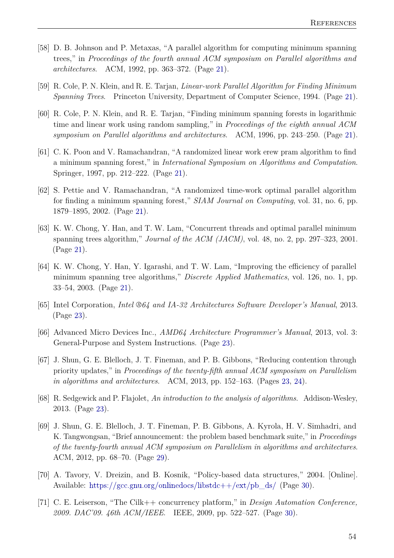- <span id="page-59-0"></span>[58] D. B. Johnson and P. Metaxas, "A parallel algorithm for computing minimum spanning trees," in *Proceedings of the fourth annual ACM symposium on Parallel algorithms and architectures*. ACM, 1992, pp. 363–372. (Page [21\)](#page-26-1).
- <span id="page-59-1"></span>[59] R. Cole, P. N. Klein, and R. E. Tarjan, *Linear-work Parallel Algorithm for Finding Minimum Spanning Trees*. Princeton University, Department of Computer Science, 1994. (Page [21\)](#page-26-1).
- <span id="page-59-2"></span>[60] R. Cole, P. N. Klein, and R. E. Tarjan, "Finding minimum spanning forests in logarithmic time and linear work using random sampling," in *Proceedings of the eighth annual ACM symposium on Parallel algorithms and architectures*. ACM, 1996, pp. 243–250. (Page [21\)](#page-26-1).
- <span id="page-59-3"></span>[61] C. K. Poon and V. Ramachandran, "A randomized linear work erew pram algorithm to find a minimum spanning forest," in *International Symposium on Algorithms and Computation*. Springer, 1997, pp. 212–222. (Page [21\)](#page-26-1).
- <span id="page-59-4"></span>[62] S. Pettie and V. Ramachandran, "A randomized time-work optimal parallel algorithm for finding a minimum spanning forest," *SIAM Journal on Computing*, vol. 31, no. 6, pp. 1879–1895, 2002. (Page [21\)](#page-26-1).
- <span id="page-59-5"></span>[63] K. W. Chong, Y. Han, and T. W. Lam, "Concurrent threads and optimal parallel minimum spanning trees algorithm," *Journal of the ACM (JACM)*, vol. 48, no. 2, pp. 297–323, 2001. (Page [21\)](#page-26-1).
- <span id="page-59-6"></span>[64] K. W. Chong, Y. Han, Y. Igarashi, and T. W. Lam, "Improving the efficiency of parallel minimum spanning tree algorithms," *Discrete Applied Mathematics*, vol. 126, no. 1, pp. 33–54, 2003. (Page [21\)](#page-26-1).
- <span id="page-59-7"></span>[65] Intel Corporation, *Intel ®64 and IA-32 Architectures Software Developer's Manual*, 2013. (Page [23\)](#page-28-2).
- <span id="page-59-8"></span>[66] Advanced Micro Devices Inc., *AMD64 Architecture Programmer's Manual*, 2013, vol. 3: General-Purpose and System Instructions. (Page [23\)](#page-28-2).
- <span id="page-59-9"></span>[67] J. Shun, G. E. Blelloch, J. T. Fineman, and P. B. Gibbons, "Reducing contention through priority updates," in *Proceedings of the twenty-fifth annual ACM symposium on Parallelism in algorithms and architectures*. ACM, 2013, pp. 152–163. (Pages [23,](#page-28-2) [24\)](#page-29-4).
- <span id="page-59-10"></span>[68] R. Sedgewick and P. Flajolet, *An introduction to the analysis of algorithms*. Addison-Wesley, 2013. (Page [23\)](#page-28-2).
- <span id="page-59-11"></span>[69] J. Shun, G. E. Blelloch, J. T. Fineman, P. B. Gibbons, A. Kyrola, H. V. Simhadri, and K. Tangwongsan, "Brief announcement: the problem based benchmark suite," in *Proceedings of the twenty-fourth annual ACM symposium on Parallelism in algorithms and architectures*. ACM, 2012, pp. 68–70. (Page [29\)](#page-34-3).
- <span id="page-59-12"></span>[70] A. Tavory, V. Dreizin, and B. Kosnik, "Policy-based data structures," 2004. [Online]. Available: [https://gcc.gnu.org/onlinedocs/libstdc++/ext/pb\\_ds/](https://gcc.gnu.org/onlinedocs/libstdc++/ext/pb_ds/) (Page [30\)](#page-35-0).
- <span id="page-59-13"></span>[71] C. E. Leiserson, "The Cilk++ concurrency platform," in *Design Automation Conference, 2009. DAC'09. 46th ACM/IEEE*. IEEE, 2009, pp. 522–527. (Page [30\)](#page-35-0).